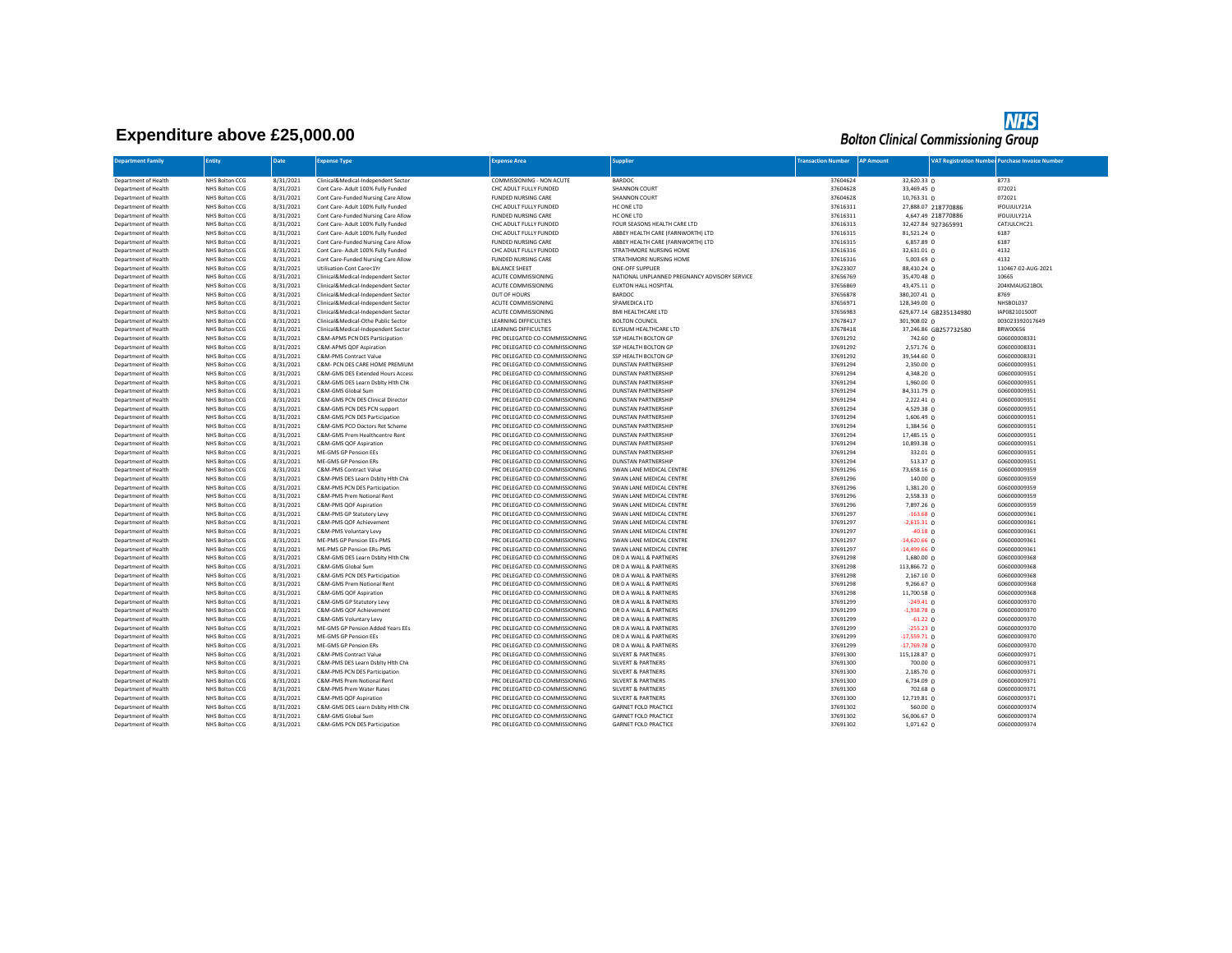## **Expenditure above £25,000.00**

## **NHS**<br>Bolton Clinical Commissioning Group

| <b>Department Family</b>                     | <b>Entity</b>                    | Date                   | <b>Expense Type</b>                                                | <b>Expense Area</b>                                              | <b>Supplier</b>                                        | <b>Transaction Number</b> | <b>AP Amount</b>          |                        | <b>VAT Registration Number Purchase Invoice Number</b> |
|----------------------------------------------|----------------------------------|------------------------|--------------------------------------------------------------------|------------------------------------------------------------------|--------------------------------------------------------|---------------------------|---------------------------|------------------------|--------------------------------------------------------|
|                                              |                                  |                        |                                                                    |                                                                  |                                                        |                           |                           |                        |                                                        |
| Department of Health                         | NHS Bolton CCG                   | 8/31/2021              | Clinical&Medical-Independent Sector                                | COMMISSIONING - NON ACUTE                                        | BARDOC                                                 | 37604624                  | 32.620.33 0               |                        | 8773                                                   |
| Department of Health                         | NHS Bolton CCG                   | 8/31/2021              | Cont Care- Adult 100% Fully Funded                                 | CHC ADULT FULLY FUNDED                                           | SHANNON COURT                                          | 37604628                  | 33,469.45 0               |                        | 072021                                                 |
| Department of Health                         | NHS Bolton CCG                   | 8/31/2021              | Cont Care-Funded Nursing Care Allow                                | <b>FUNDED NURSING CARE</b>                                       | SHANNON COURT                                          | 37604628                  | 10,763.31 0               |                        | 072021                                                 |
| Department of Health                         | NHS Bolton CCG                   | 8/31/2021              | Cont Care- Adult 100% Fully Funded                                 | CHC ADULT FULLY FUNDED                                           | HC ONE LTD                                             | 37616311                  |                           | 27,888.07 218770886    | IFOUJULY21A                                            |
| Department of Health                         | NHS Bolton CCG                   | 8/31/2021              | Cont Care-Funded Nursing Care Allow                                | FUNDED NURSING CARE                                              | HC ONE LTD                                             | 37616311                  |                           | 4,647.49 218770886     | IFOUJULY21A                                            |
| Department of Health                         | NHS Bolton CCG                   | 8/31/2021              | Cont Care- Adult 100% Fully Funded                                 | CHC ADULT FULLY FUNDED                                           | FOUR SEASONS HEALTH CARE LTD                           | 37616313                  |                           | 32,427.84 927365991    | CATJULCHC21                                            |
| Department of Health                         | NHS Bolton CCG                   | 8/31/2021              | Cont Care- Adult 100% Fully Funded                                 | CHC ADULT FULLY FUNDED                                           | ABBEY HEALTH CARE (FARNWORTH) LTD                      | 37616315                  | 81,521.24 0               |                        | 6187                                                   |
| Department of Health                         | NHS Bolton CCG                   | 8/31/2021              | Cont Care-Funded Nursing Care Allow                                | <b>FUNDED NURSING CARE</b>                                       | ABBEY HEALTH CARE (FARNWORTH) LTD                      | 37616315                  | 6,857.89 0                |                        | 6187                                                   |
| Department of Health                         | NHS Bolton CCG                   | 8/31/2021              | Cont Care- Adult 100% Fully Funded                                 | CHC ADULT FULLY FUNDED                                           | STRATHMORE NURSING HOME                                | 37616316                  | 32,631.01 0               |                        | 4132                                                   |
| Department of Health                         | NHS Bolton CCG                   | 8/31/2021              | Cont Care-Funded Nursing Care Allow                                | <b>FUNDED NURSING CARE</b>                                       | STRATHMORE NURSING HOME                                | 37616316                  | $5,003.69$ 0              |                        | 4132                                                   |
| Department of Health                         | NHS Bolton CCG                   | 8/31/2021              | Utilisation-Cont Care<1Yr                                          | <b>BALANCE SHEET</b>                                             | ONE-OFF SUPPLIER                                       | 37623307                  | 88,410.24 0               |                        | 110467-02-AUG-2021                                     |
| Department of Health                         | NHS Bolton CCG                   | 8/31/2021              | Clinical&Medical-Independent Sector                                | ACUTE COMMISSIONING                                              | NATIONAL UNPLANNED PREGNANCY ADVISORY SERVICE          | 37656769                  | 35,470.48 0               |                        | 10665                                                  |
| Department of Health                         | NHS Bolton CCG                   | 8/31/2021              | Clinical&Medical-Independent Sector                                | ACUTE COMMISSIONING                                              | EUXTON HALL HOSPITAL                                   | 37656869                  | 43,475.11 0               |                        | 204KMAUG21BOL                                          |
| Department of Health                         | NHS Bolton CCG                   | 8/31/2021              | Clinical&Medical-Independent Sector                                | OUT OF HOURS                                                     | BARDOC                                                 | 37656878                  | 380,207.41 0              |                        | 8769                                                   |
| Department of Health                         | NHS Bolton CCG                   | 8/31/2021              | Clinical&Medical-Independent Sector                                | ACUTE COMMISSIONING                                              | SPAMEDICA LTD                                          | 37656971                  | 128,349.00 0              |                        | NHSBOL037                                              |
| Department of Health                         | NHS Bolton CCG                   | 8/31/2021              | Clinical&Medical-Independent Sector                                | ACUTE COMMISSIONING                                              | <b>BMI HEALTHCARE LTD</b>                              | 37656983                  |                           | 629,677.14 GB235134980 | IAP082101500T                                          |
| Department of Health                         | NHS Bolton CCG                   | 8/31/2021              | Clinical&Medical-Othe Public Sector                                | <b>LEARNING DIFFICULTIES</b>                                     | <b>BOLTON COUNCIL</b>                                  | 37678417                  | 301,908.02 0              |                        | 003023392017649                                        |
| Department of Health                         | NHS Bolton CCG                   | 8/31/2021              | Clinical&Medical-Independent Sector                                | <b>LEARNING DIFFICULTIES</b>                                     | ELYSIUM HEALTHCARE LTD                                 | 37678418                  |                           | 37,246.86 GB257732580  | <b>BRW00656</b>                                        |
| Department of Health                         | NHS Bolton CCG                   | 8/31/2021              | C&M-APMS PCN DES Participation                                     | PRC DELEGATED CO-COMMISSIONING                                   | SSP HEALTH BOLTON GP                                   | 37691292                  | 742.60 0                  |                        | G06000008331                                           |
| Department of Health                         | NHS Bolton CCG                   | 8/31/2021              | C&M-APMS QOF Aspiration                                            | PRC DELEGATED CO-COMMISSIONING                                   | SSP HEALTH BOLTON GP                                   | 37691292                  | 2,571.76 0                |                        | G06000008331                                           |
| Department of Health                         | NHS Bolton CCG                   | 8/31/2021              | C&M-PMS Contract Value                                             | PRC DELEGATED CO-COMMISSIONING                                   | SSP HEALTH BOLTON GP                                   | 37691292                  | 39,544.60 0               |                        | G06000008331                                           |
| Department of Health                         | NHS Bolton CCG                   | 8/31/2021              | C&M- PCN DES CARE HOME PREMIUM                                     | PRC DELEGATED CO-COMMISSIONING                                   | <b>DUNSTAN PARTNERSHIP</b>                             | 37691294                  | 2,350.00 0                |                        | G06000009351                                           |
| Department of Health                         | NHS Bolton CCG                   | 8/31/2021              | C&M-GMS DES Extended Hours Access                                  | PRC DELEGATED CO-COMMISSIONING                                   | <b>DUNSTAN PARTNERSHIP</b>                             | 37691294                  | 4,348.20 0                |                        | G06000009351                                           |
| Department of Health                         | NHS Bolton CCG                   | 8/31/2021              | C&M-GMS DES Learn Dsblty Hith Chk                                  | PRC DELEGATED CO-COMMISSIONING                                   | <b>DUNSTAN PARTNERSHIP</b>                             | 37691294                  | 1,960.00 0                |                        | G06000009351                                           |
| Department of Health                         | NHS Bolton CCG                   | 8/31/2021              | C&M-GMS Global Sum                                                 | PRC DELEGATED CO-COMMISSIONING                                   | <b>DUNSTAN PARTNERSHIP</b>                             | 37691294                  | 84,311.79 0               |                        | G06000009351                                           |
| Department of Health                         | NHS Bolton CCG                   | 8/31/2021              | C&M-GMS PCN DES Clinical Director                                  | PRC DELEGATED CO-COMMISSIONING                                   | <b>DUNSTAN PARTNERSHIP</b>                             | 37691294                  | 2,222.41 0                |                        | G06000009351                                           |
| Department of Health                         | NHS Bolton CCG                   | 8/31/2021              | C&M-GMS PCN DES PCN support                                        | PRC DELEGATED CO-COMMISSIONING                                   | <b>DUNSTAN PARTNERSHIP</b>                             | 37691294                  | 4,529.38 0                |                        | G06000009351                                           |
| Department of Health                         | NHS Bolton CCG                   | 8/31/2021              | C&M-GMS PCN DES Participation                                      | PRC DELEGATED CO-COMMISSIONING                                   | <b>DUNSTAN PARTNERSHIP</b>                             | 37691294                  | 1,606.49 0                |                        | G06000009351                                           |
| Department of Health                         | NHS Bolton CCG                   | 8/31/2021              | C&M-GMS PCO Doctors Ret Scheme                                     | PRC DELEGATED CO-COMMISSIONING                                   | <b>DUNSTAN PARTNERSHIP</b>                             | 37691294                  | 1,384.56 0                |                        | G06000009351                                           |
| Department of Health                         | NHS Bolton CCG                   | 8/31/2021              | C&M-GMS Prem Healthcentre Rent                                     | PRC DELEGATED CO-COMMISSIONING                                   | <b>DUNSTAN PARTNERSHIP</b>                             | 37691294                  | 17,485.15 0               |                        | G06000009351                                           |
| Department of Health                         | NHS Bolton CCG                   | 8/31/2021              | C&M-GMS QOF Aspiration                                             | PRC DELEGATED CO-COMMISSIONING                                   | <b>DUNSTAN PARTNERSHIP</b>                             | 37691294                  | 10,893.38 0               |                        | G06000009351                                           |
| Department of Health                         | NHS Bolton CCG                   | 8/31/2021              | ME-GMS GP Pension EEs                                              | PRC DELEGATED CO-COMMISSIONING                                   | <b>DUNSTAN PARTNERSHIP</b>                             | 37691294                  | 332.01 0                  |                        | G06000009351                                           |
| Department of Health                         | NHS Bolton CCG                   | 8/31/2021              | ME-GMS GP Pension ERs<br>C&M-PMS Contract Value                    | PRC DELEGATED CO-COMMISSIONING<br>PRC DELEGATED CO-COMMISSIONING | <b>DUNSTAN PARTNERSHIP</b><br>SWAN LANE MEDICAL CENTRE | 37691294                  | 513.37 $0$                |                        | G06000009351<br>G06000009359                           |
| Department of Health                         | NHS Bolton CCG<br>NHS Bolton CCG | 8/31/2021<br>8/31/2021 |                                                                    |                                                                  | SWAN LANE MEDICAL CENTRE                               | 37691296<br>37691296      | 73,658.16 0               |                        | G06000009359                                           |
| Department of Health<br>Department of Health | NHS Bolton CCG                   | 8/31/2021              | C&M-PMS DES Learn Dsblty Hith Chk<br>C&M-PMS PCN DES Participation | PRC DELEGATED CO-COMMISSIONING<br>PRC DELEGATED CO-COMMISSIONING | SWAN LANE MEDICAL CENTRE                               | 37691296                  | 140.0000<br>$1,381.20$ 0  |                        | G06000009359                                           |
|                                              |                                  |                        |                                                                    |                                                                  |                                                        |                           |                           |                        |                                                        |
| Department of Health                         | NHS Bolton CCG<br>NHS Bolton CCG | 8/31/2021<br>8/31/2021 | C&M-PMS Prem Notional Rent                                         | PRC DELEGATED CO-COMMISSIONING<br>PRC DELEGATED CO-COMMISSIONING | SWAN LANE MEDICAL CENTRE<br>SWAN LANE MEDICAL CENTRE   | 37691296<br>37691296      | 2,558.33 0                |                        | G06000009359<br>G06000009359                           |
| Department of Health<br>Department of Health | NHS Bolton CCG                   | 8/31/2021              | C&M-PMS QOF Aspiration<br>C&M-PMS GP Statutory Levy                | PRC DELEGATED CO-COMMISSIONING                                   | SWAN LANE MEDICAL CENTRE                               | 37691297                  | 7,897.26 0<br>$-163.68$ 0 |                        | G06000009361                                           |
| Department of Health                         | NHS Bolton CCG                   | 8/31/2021              | C&M-PMS QOF Achievement                                            | PRC DELEGATED CO-COMMISSIONING                                   | SWAN LANE MEDICAL CENTRE                               | 37691297                  | $-2,615.31$ 0             |                        | G06000009361                                           |
| Department of Health                         | NHS Bolton CCG                   | 8/31/2021              | C&M-PMS Voluntary Levy                                             | PRC DELEGATED CO-COMMISSIONING                                   | SWAN LANE MEDICAL CENTRE                               | 37691297                  | $-40.18$ 0                |                        | G06000009361                                           |
| Department of Health                         | NHS Bolton CCG                   | 8/31/2021              | ME-PMS GP Pension EEs-PMS                                          | PRC DELEGATED CO-COMMISSIONING                                   | SWAN LANE MEDICAL CENTRE                               | 37691297                  | $-14,620.66$ 0            |                        | G06000009361                                           |
| Department of Health                         | NHS Bolton CCG                   | 8/31/2021              | ME-PMS GP Pension ERs-PMS                                          | PRC DELEGATED CO-COMMISSIONING                                   | SWAN LANE MEDICAL CENTRE                               | 37691297                  | $-14,499.66$ 0            |                        | G06000009361                                           |
| Department of Health                         | NHS Bolton CCG                   | 8/31/2021              | C&M-GMS DES Learn Dsblty Hith Chk                                  | PRC DELEGATED CO-COMMISSIONING                                   | DR D A WALL & PARTNERS                                 | 37691298                  | 1,680.00 0                |                        | G06000009368                                           |
| Department of Health                         | NHS Bolton CCG                   | 8/31/2021              | C&M-GMS Global Sum                                                 | PRC DELEGATED CO-COMMISSIONING                                   | DR D A WALL & PARTNERS                                 | 37691298                  | 113,866.72 0              |                        | G06000009368                                           |
| Department of Health                         | NHS Bolton CCG                   | 8/31/2021              | C&M-GMS PCN DES Participation                                      | PRC DELEGATED CO-COMMISSIONING                                   | DR D A WALL & PARTNERS                                 | 37691298                  | 2,167.10 0                |                        | G06000009368                                           |
| Department of Health                         | NHS Bolton CCG                   | 8/31/2021              | C&M-GMS Prem Notional Rent                                         | PRC DELEGATED CO-COMMISSIONING                                   | DR D A WALL & PARTNERS                                 | 37691298                  | 9,266.67 0                |                        | G06000009368                                           |
| Department of Health                         | NHS Bolton CCG                   | 8/31/2021              | C&M-GMS QOF Aspiration                                             | PRC DELEGATED CO-COMMISSIONING                                   | DR D A WALL & PARTNERS                                 | 37691298                  | 11,700.58 0               |                        | G06000009368                                           |
| Department of Health                         | NHS Bolton CCG                   | 8/31/2021              | C&M-GMS GP Statutory Levy                                          | PRC DELEGATED CO-COMMISSIONING                                   | DR D A WALL & PARTNERS                                 | 37691299                  | $-249.41$ 0               |                        | G06000009370                                           |
| Department of Health                         | NHS Bolton CCG                   | 8/31/2021              | C&M-GMS QOF Achievement                                            | PRC DELEGATED CO-COMMISSIONING                                   | DR D A WALL & PARTNERS                                 | 37691299                  | $-1,938.78$ 0             |                        | G06000009370                                           |
| Department of Health                         | NHS Bolton CCG                   | 8/31/2021              | C&M-GMS Voluntary Levy                                             | PRC DELEGATED CO-COMMISSIONING                                   | DR D A WALL & PARTNERS                                 | 37691299                  | $-61.22$ 0                |                        | G06000009370                                           |
| Department of Health                         | NHS Bolton CCG                   | 8/31/2021              | ME-GMS GP Pension Added Years EEs                                  | PRC DELEGATED CO-COMMISSIONING                                   | DR D A WALL & PARTNERS                                 | 37691299                  | $-255.23$ 0               |                        | G06000009370                                           |
| Department of Health                         | NHS Bolton CCG                   | 8/31/2021              | ME-GMS GP Pension EEs                                              | PRC DELEGATED CO-COMMISSIONING                                   | DR D A WALL & PARTNERS                                 | 37691299                  | $-17,559.71$ 0            |                        | G06000009370                                           |
| Department of Health                         | NHS Bolton CCG                   | 8/31/2021              | ME-GMS GP Pension ERs                                              | PRC DELEGATED CO-COMMISSIONING                                   | DR D A WALL & PARTNERS                                 | 37691299                  | $-17,769.78$ 0            |                        | G06000009370                                           |
| Department of Health                         | NHS Bolton CCG                   | 8/31/2021              | C&M-PMS Contract Value                                             | PRC DELEGATED CO-COMMISSIONING                                   | <b>SILVERT &amp; PARTNERS</b>                          | 37691300                  | 115,128.87 0              |                        | G06000009371                                           |
| Department of Health                         | NHS Bolton CCG                   | 8/31/2021              | C&M-PMS DES Learn Dsblty Hith Chk                                  | PRC DELEGATED CO-COMMISSIONING                                   | <b>SILVERT &amp; PARTNERS</b>                          | 37691300                  | 700.00 0                  |                        | G06000009371                                           |
| Department of Health                         | NHS Bolton CCG                   | 8/31/2021              | C&M-PMS PCN DES Participation                                      | PRC DELEGATED CO-COMMISSIONING                                   | <b>SILVERT &amp; PARTNERS</b>                          | 37691300                  | 2,185.70 0                |                        | G06000009371                                           |
| Department of Health                         | NHS Bolton CCG                   | 8/31/2021              | C&M-PMS Prem Notional Rent                                         | PRC DELEGATED CO-COMMISSIONING                                   | <b>SILVERT &amp; PARTNERS</b>                          | 37691300                  | $6,734.09$ 0              |                        | G06000009371                                           |
| Department of Health                         | NHS Bolton CCG                   | 8/31/2021              | C&M-PMS Prem Water Rates                                           | PRC DELEGATED CO-COMMISSIONING                                   | <b>SILVERT &amp; PARTNERS</b>                          | 37691300                  | 702.68 0                  |                        | G06000009371                                           |
| Department of Health                         | NHS Bolton CCG                   | 8/31/2021              | C&M-PMS QOF Aspiration                                             | PRC DELEGATED CO-COMMISSIONING                                   | <b>SILVERT &amp; PARTNERS</b>                          | 37691300                  | 12,719.81 0               |                        | G06000009371                                           |
| Department of Health                         | NHS Bolton CCG                   | 8/31/2021              | C&M-GMS DES Learn Dsblty Hith Chk                                  | PRC DELEGATED CO-COMMISSIONING                                   | <b>GARNET FOLD PRACTICE</b>                            | 37691302                  | 560.00 0                  |                        | G06000009374                                           |
| Department of Health                         | NHS Bolton CCG                   | 8/31/2021              | C&M-GMS Global Sum                                                 | PRC DELEGATED CO-COMMISSIONING                                   | <b>GARNET FOLD PRACTICE</b>                            | 37691302                  | 56,006.67 0               |                        | G06000009374                                           |
| Department of Health                         | NHS Bolton CCG                   | 8/31/2021              | C&M-GMS PCN DES Participation                                      | PRC DELEGATED CO-COMMISSIONING                                   | <b>GARNET FOLD PRACTICE</b>                            | 37691302                  | 1,071.62 0                |                        | G06000009374                                           |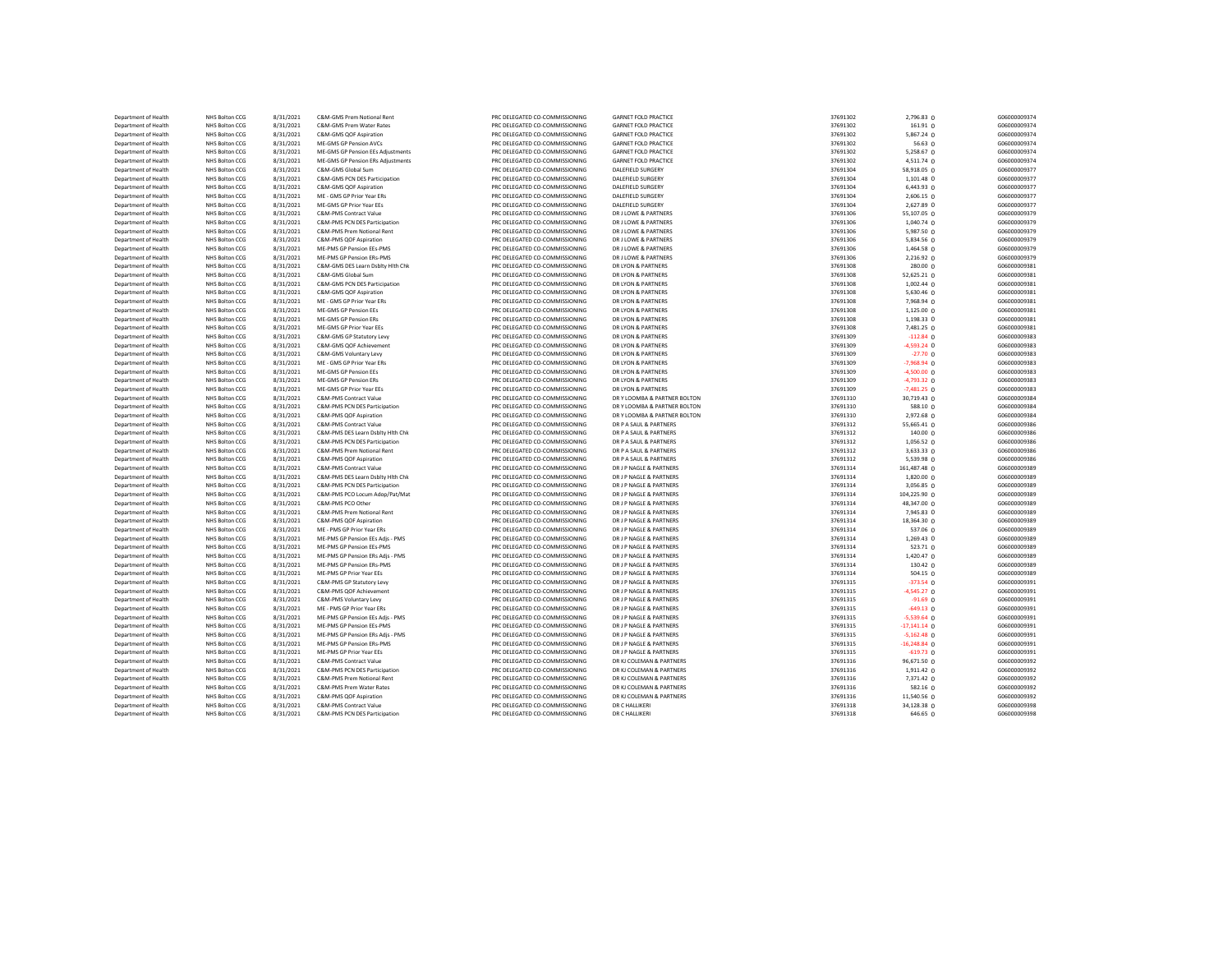| Department of Health                         | NHS Bolton CCG                   | 8/31/2021              | C&M-GMS Prem Notional Rent                                    | PRC DELEGATED CO-COMMISSIONING                                   | <b>GARNET FOLD PRACTICE</b>                        | 37691302             | 2,796.83 0                    | G06000009374                 |
|----------------------------------------------|----------------------------------|------------------------|---------------------------------------------------------------|------------------------------------------------------------------|----------------------------------------------------|----------------------|-------------------------------|------------------------------|
| Department of Health                         | NHS Bolton CCG                   | 8/31/2021              | C&M-GMS Prem Water Rates                                      | PRC DELEGATED CO-COMMISSIONING                                   | <b>GARNET FOLD PRACTICE</b>                        | 37691302             | 161.91 0                      | G06000009374                 |
| Department of Health                         | NHS Bolton CCG                   | 8/31/2021              | C&M-GMS QOF Aspiration                                        | PRC DELEGATED CO-COMMISSIONING                                   | <b>GARNET FOLD PRACTICE</b>                        | 37691302             | 5,867.24 0                    | G06000009374                 |
| Department of Health                         | NHS Bolton CCG                   | 8/31/2021              | ME-GMS GP Pension AVCs                                        | PRC DELEGATED CO-COMMISSIONING                                   | <b>GARNET FOLD PRACTICE</b>                        | 37691302             | 56.63 0                       | G06000009374                 |
| Department of Health                         | NHS Bolton CCG                   | 8/31/2021              | ME-GMS GP Pension EEs Adjustments                             | PRC DELEGATED CO-COMMISSIONING                                   | <b>GARNET FOLD PRACTICE</b>                        | 37691302             | 5,258.67 0                    | 606000009374                 |
| Department of Health                         | NHS Bolton CCG                   | 8/31/2021              | ME-GMS GP Pension ERs Adjustments                             | PRC DELEGATED CO-COMMISSIONING                                   | <b>GARNET FOLD PRACTICE</b>                        | 37691302             | 4,511.74 0                    | G06000009374                 |
| Department of Health                         | NHS Bolton CCG                   | 8/31/2021              | C&M-GMS Global Sum                                            | PRC DELEGATED CO-COMMISSIONING                                   | DALEFIELD SURGERY                                  | 37691304             | 58,918.05 0                   | G06000009377                 |
| Department of Health                         | NHS Bolton CCG                   | 8/31/2021              | C&M-GMS PCN DES Participation                                 | PRC DELEGATED CO-COMMISSIONING                                   | DALEFIELD SURGERY                                  | 37691304             | 1,101.48 0                    | G06000009377                 |
| Department of Health                         | NHS Bolton CCG                   | 8/31/2021              | C&M-GMS OOF Asniration                                        | PRC DELEGATED CO-COMMISSIONING                                   | DALEFIELD SURGERY                                  | 37691304             | 6,443.93 0                    | G06000009377                 |
| Department of Health                         | NHS Bolton CCG                   | 8/31/2021              | ME - GMS GP Prior Year ERs                                    | PRC DELEGATED CO-COMMISSIONING                                   | DALEFIELD SURGERY                                  | 37691304             | 2,606.15 0                    | G06000009377                 |
| Department of Health                         | NHS Bolton CCG                   | 8/31/2021              | ME-GMS GP Prior Year EEs                                      | PRC DELEGATED CO-COMMISSIONING                                   | <b>DALEFIELD SURGERY</b>                           | 37691304             | 2,627.89 0                    | G06000009377                 |
| Department of Health                         | NHS Bolton CCG                   | 8/31/2021              | C&M-PMS Contract Value                                        | PRC DELEGATED CO-COMMISSIONING                                   | DR LLOWE & PARTNERS                                | 37691306             | 55,107.05 0                   | G06000009379                 |
| Department of Health                         | NHS Bolton CCG                   | 8/31/2021              | C&M-PMS PCN DES Participation                                 | PRC DELEGATED CO-COMMISSIONING                                   | DR J LOWE & PARTNERS                               | 37691306             | 1,040.74 0                    | G06000009379                 |
| Department of Health<br>Denartment of Health | NHS Bolton CCG<br>NHS Bolton CCG | 8/31/2021<br>8/31/2021 | C&M-PMS Prem Notional Rent<br>C&M-PMS OOF Asniration          | PRC DELEGATED CO-COMMISSIONING<br>PRC DELEGATED CO-COMMISSIONING | DR J LOWE & PARTNERS<br>DR J LOWE & PARTNERS       | 37691306<br>37691306 | 5,987.50 0                    | G06000009379<br>G06000009379 |
|                                              | NHS Bolton CCG                   | 8/31/2021              | ME-PMS GP Pension EEs-PMS                                     | PRC DELEGATED CO-COMMISSIONING                                   | DR J LOWE & PARTNERS                               | 37691306             | 5,834.56 0                    | G06000009379                 |
| Department of Health<br>Department of Health | NHS Bolton CCG                   | 8/31/2021              | ME-PMS GP Pension ERs-PMS                                     | PRC DELEGATED CO-COMMISSIONING                                   | DR J LOWE & PARTNERS                               | 37691306             | 1,464.58 0<br>2,216.92 0      | G06000009379                 |
| Department of Health                         | NHS Bolton CCG                   | 8/31/2021              | C&M-GMS DES Learn Dsbltv Hith Chk                             | PRC DELEGATED CO-COMMISSIONING                                   | DR LYON & PARTNERS                                 | 37691308             | 280.00 0                      | G06000009381                 |
| Department of Health                         | NHS Bolton CCG                   | 8/31/2021              | C&M-GMS Global Sum                                            | PRC DELEGATED CO-COMMISSIONING                                   | DR LYON & PARTNERS                                 | 37691308             | 52,625.21 0                   | G06000009381                 |
| Department of Health                         | NHS Bolton CCG                   | 8/31/2021              | C&M-GMS PCN DES Participation                                 | PRC DELEGATED CO-COMMISSIONING                                   | DR LYON & PARTNERS                                 | 37691308             | $1,002.44$ 0                  | G06000009381                 |
| Department of Health                         | NHS Bolton CCG                   | 8/31/2021              | C&M-GMS QOF Aspiration                                        | PRC DELEGATED CO-COMMISSIONING                                   | DR LYON & PARTNERS                                 | 37691308             | 5,630.46 $\Omega$             | G06000009381                 |
| Department of Health                         | NHS Bolton CCG                   | 8/31/2021              | ME - GMS GP Prior Year ERs                                    | PRC DELEGATED CO-COMMISSIONING                                   | DR I YON & PARTNERS                                | 37691308             | 7,968.94 0                    | G06000009381                 |
| Department of Health                         | NHS Bolton CCG                   | 8/31/2021              | <b>ME-GMS GP Pension EEs</b>                                  | PRC DELEGATED CO-COMMISSIONING                                   | DR LYON & PARTNERS                                 | 37691308             | $1,125.00$ 0                  | G06000009381                 |
| Department of Health                         | NHS Bolton CCG                   | 8/31/2021              | <b>ME-GMS GP Pension ERs</b>                                  | PRC DELEGATED CO-COMMISSIONING                                   | DR LYON & PARTNERS                                 | 37691308             | 1,198.33 0                    | G06000009381                 |
| Department of Health                         | NHS Bolton CCG                   | 8/31/2021              | ME-GMS GP Prior Year EEs                                      | PRC DELEGATED CO-COMMISSIONING                                   | DR LYON & PARTNERS                                 | 37691308             | 7,481.25 0                    | G06000009381                 |
| Department of Health                         | NHS Bolton CCG                   | 8/31/2021              | C&M-GMS GP Statutory Levy                                     | PRC DELEGATED CO-COMMISSIONING                                   | DR LYON & PARTNERS                                 | 37691309             | $-112.84$ 0                   | G06000009383                 |
| Department of Health                         | NHS Bolton CCG                   | 8/31/2021              | C&M-GMS QOF Achievement                                       | PRC DELEGATED CO-COMMISSIONING                                   | DR LYON & PARTNERS                                 | 37691309             | $-4,593.24$ 0                 | G06000009383                 |
| Department of Health                         | NHS Bolton CCG                   | 8/31/2021              | C&M-GMS Voluntary Levy                                        | PRC DELEGATED CO-COMMISSIONING                                   | DR LYON & PARTNERS                                 | 37691309             | $-27.70$ 0                    | G06000009383                 |
| Department of Health                         | NHS Bolton CCG                   | 8/31/2021              | ME - GMS GP Prior Year ERs                                    | PRC DELEGATED CO-COMMISSIONING                                   | DR LYON & PARTNERS                                 | 37691309             | $-7,968.94$ 0                 | G06000009383                 |
| Department of Health                         | NHS Bolton CCG                   | 8/31/2021              | ME-GMS GP Pension EEs                                         | PRC DELEGATED CO-COMMISSIONING                                   | DR LYON & PARTNERS                                 | 37691309             | $-4,500.00$ 0                 | G06000009383                 |
| Department of Health                         | NHS Bolton CCG                   | 8/31/2021              | ME-GMS GP Pension ERs                                         | PRC DELEGATED CO-COMMISSIONING                                   | DR LYON & PARTNERS                                 | 37691309             | $-4,793.32$ 0                 | G06000009383                 |
| Department of Health                         | NHS Bolton CCG                   | 8/31/2021              | ME-GMS GP Prior Year EEs                                      | PRC DELEGATED CO-COMMISSIONING                                   | DR LYON & PARTNERS                                 | 37691309             | $-7,481.25$ 0                 | G06000009383                 |
| Department of Health                         | NHS Bolton CCG                   | 8/31/2021              | C&M-PMS Contract Value                                        | PRC DELEGATED CO-COMMISSIONING                                   | DR Y LOOMBA & PARTNER BOLTON                       | 37691310             | 30,719.43 0                   | G06000009384                 |
| Department of Health                         | NHS Bolton CCG                   | 8/31/2021              | C&M-PMS PCN DES Participation                                 | PRC DELEGATED CO-COMMISSIONING                                   | DR Y LOOMBA & PARTNER BOLTON                       | 37691310             | 588.10 0                      | G06000009384                 |
| Department of Health                         | NHS Bolton CCG                   | 8/31/2021              | C&M-PMS QOF Aspiration                                        | PRC DELEGATED CO-COMMISSIONING                                   | DR Y LOOMBA & PARTNER BOLTON                       | 37691310             | 2,972.68 0                    | G06000009384                 |
| Department of Health                         | NHS Bolton CCG                   | 8/31/2021              | C&M-PMS Contract Value                                        | PRC DELEGATED CO-COMMISSIONING                                   | DR P A SAUL & PARTNERS                             | 37691312             | 55,665.41 0                   | G06000009386                 |
| Department of Health                         | NHS Bolton CCG                   | 8/31/2021              | C&M-PMS DES Learn Dsblty Hith Chk                             | PRC DELEGATED CO-COMMISSIONING                                   | DR P A SAUL & PARTNERS                             | 37691312             | 140.00 0                      | G06000009386                 |
| Department of Health                         | NHS Bolton CCG                   | 8/31/2021              | C&M-PMS PCN DES Participation                                 | PRC DELEGATED CO-COMMISSIONING                                   | DR P A SAUL & PARTNERS                             | 37691312             | 1,056.52 0                    | G06000009386                 |
| Department of Health                         | NHS Bolton CCG                   | 8/31/2021              | C&M-PMS Prem Notional Rent                                    | PRC DELEGATED CO-COMMISSIONING                                   | DR P A SAUL & PARTNERS                             | 37691312             | 3,633.33 0                    | G06000009386                 |
| Department of Health                         | NHS Bolton CCG                   | 8/31/2021              | C&M-PMS QOF Aspiration                                        | PRC DELEGATED CO-COMMISSIONING                                   | DR P A SAUL & PARTNERS                             | 37691312             | 5,539.98 0                    | G06000009386                 |
| Department of Health                         | NHS Bolton CCG                   | 8/31/2021              | C&M-PMS Contract Value                                        | PRC DELEGATED CO-COMMISSIONING                                   | DR J P NAGLE & PARTNERS                            | 37691314             | 161,487.48 0                  | G06000009389                 |
| Department of Health                         | NHS Bolton CCG                   | 8/31/2021              | C&M-PMS DES Learn Dsbltv Hith Chk                             | PRC DELEGATED CO-COMMISSIONING                                   | DR J P NAGLE & PARTNERS                            | 37691314             | $1,820.00$ 0                  | G06000009389                 |
| Department of Health                         | NHS Bolton CCG                   | 8/31/2021              | C&M-PMS PCN DES Participation                                 | PRC DELEGATED CO-COMMISSIONING                                   | DR J P NAGLE & PARTNERS                            | 37691314             | 3,056.85 0                    | G06000009389                 |
| Department of Health                         | NHS Bolton CCG                   | 8/31/2021              | C&M-PMS PCO Locum Adop/Pat/Mat                                | PRC DELEGATED CO-COMMISSIONING                                   | DR J P NAGLE & PARTNERS                            | 37691314             | 104,225.90 0                  | G06000009389                 |
| Department of Health                         | NHS Bolton CCG                   | 8/31/2021              | C&M-PMS PCO Other                                             | PRC DELEGATED CO-COMMISSIONING                                   | DR J P NAGLE & PARTNERS                            | 37691314             | 48,347.00 0                   | G06000009389                 |
| Department of Health                         | NHS Bolton CCG                   | 8/31/2021              | C&M-PMS Prem Notional Rent                                    | PRC DELEGATED CO-COMMISSIONING                                   | DR J P NAGLE & PARTNERS                            | 37691314             | 7,945.83 0                    | G06000009389                 |
| Department of Health                         | NHS Bolton CCG                   | 8/31/2021              | C&M-PMS QOF Aspiration                                        | PRC DELEGATED CO-COMMISSIONING                                   | DR J P NAGLE & PARTNERS                            | 37691314             | 18,364.30 0                   | G06000009389                 |
| Department of Health                         | NHS Bolton CCG                   | 8/31/2021              | ME - PMS GP Prior Year ERs                                    | PRC DELEGATED CO-COMMISSIONING                                   | DR J P NAGLE & PARTNERS                            | 37691314             | 537.06 0                      | G06000009389                 |
| Department of Health                         | NHS Bolton CCG                   | 8/31/2021              | ME-PMS GP Pension EEs Adjs - PMS                              | PRC DELEGATED CO-COMMISSIONING                                   | DR J P NAGLE & PARTNERS                            | 37691314             | 1,269.43 0                    | G06000009389                 |
| Department of Health                         | NHS Bolton CCG                   | 8/31/2021              | ME-PMS GP Pension EEs-PMS                                     | PRC DELEGATED CO-COMMISSIONING                                   | DR J P NAGLE & PARTNERS                            | 37691314             | 523.71 0                      | G06000009389                 |
| Department of Health                         | NHS Bolton CCG                   | 8/31/2021              | ME-PMS GP Pension ERs Adjs - PMS                              | PRC DELEGATED CO-COMMISSIONING                                   | DR J P NAGLE & PARTNERS                            | 37691314             | 1,420.47 0                    | G06000009389                 |
| Department of Health                         | NHS Bolton CCG                   | 8/31/2021              | ME-PMS GP Pension ERs-PMS                                     | PRC DELEGATED CO-COMMISSIONING                                   | DR J P NAGLE & PARTNERS                            | 37691314             | 130.42 0                      | G06000009389                 |
| Department of Health                         | NHS Bolton CCG                   | 8/31/2021              | ME-PMS GP Prior Year EEs                                      | PRC DELEGATED CO-COMMISSIONING                                   | DR J P NAGLE & PARTNERS                            | 37691314             | $504.15$ 0                    | G06000009389                 |
| Department of Health                         | NHS Bolton CCG                   | 8/31/2021              | C&M-PMS GP Statutory Levy                                     | PRC DELEGATED CO-COMMISSIONING                                   | DR J P NAGLE & PARTNERS                            | 37691315             | $-373.54$ 0                   | G06000009391                 |
| Department of Health                         | NHS Bolton CCG                   | 8/31/2021              | C&M-PMS QOF Achievement                                       | PRC DELEGATED CO-COMMISSIONING                                   | DR J P NAGLE & PARTNERS                            | 37691315             | $-4,545.27$ 0                 | G06000009391                 |
| Department of Health                         | NHS Bolton CCG                   | 8/31/2021              | C&M-PMS Voluntary Levy                                        | PRC DELEGATED CO-COMMISSIONING                                   | DR J P NAGLE & PARTNERS                            | 37691315             | $-91.69$ 0                    | G06000009391                 |
| Department of Health                         | NHS Bolton CCG                   | 8/31/2021              | MF - PMS GP Prior Year FRs                                    | PRC DELEGATED CO-COMMISSIONING                                   | DR LP NAGLE & PARTNERS                             | 37691315             | $-649.13$ 0                   | G06000009391                 |
| Department of Health                         | NHS Bolton CCG                   | 8/31/2021              | ME-PMS GP Pension EEs Adjs - PMS                              | PRC DELEGATED CO-COMMISSIONING                                   | DR J P NAGLE & PARTNERS                            | 37691315             | $-5,539.64$ 0                 | G06000009391                 |
| Department of Health                         | NHS Bolton CCG<br>NHS Bolton CCG | 8/31/2021<br>8/31/2021 | ME-PMS GP Pension EEs-PMS<br>ME-PMS GP Pension ERs Adjs - PMS | PRC DELEGATED CO-COMMISSIONING<br>PRC DELEGATED CO-COMMISSIONING | DR J P NAGLE & PARTNERS<br>DR J P NAGLE & PARTNERS | 37691315<br>37691315 | $-17,141.14$ 0                | G06000009391<br>G06000009391 |
| Department of Health                         |                                  |                        |                                                               |                                                                  |                                                    |                      | $-5,162.48$ 0                 |                              |
| Department of Health<br>Department of Health | NHS Bolton CCG<br>NHS Bolton CCG | 8/31/2021<br>8/31/2021 | ME-PMS GP Pension ERs-PMS<br>MF-PMS GP Prior Year FFs         | PRC DELEGATED CO-COMMISSIONING<br>PRC DELEGATED CO-COMMISSIONING | DR J P NAGLE & PARTNERS<br>DR I P NAGLE & PARTNERS | 37691315<br>37691315 | $-16,248.84$ 0<br>$-619.73$ 0 | G06000009391<br>G06000009391 |
| Department of Health                         | NHS Bolton CCG                   | 8/31/2021              | C&M-PMS Contract Value                                        | PRC DELEGATED CO-COMMISSIONING                                   | DR KLCOLEMAN & PARTNERS                            | 37691316             | 96,671.50 0                   | G06000009392                 |
| Department of Health                         | NHS Bolton CCG                   | 8/31/2021              | C&M-PMS PCN DES Participation                                 | PRC DELEGATED CO-COMMISSIONING                                   | DR KJ COLEMAN & PARTNERS                           | 37691316             | 1,911.42 0                    | G06000009392                 |
| Department of Health                         | NHS Bolton CCG                   | 8/31/2021              | C&M-PMS Prem Notional Rent                                    | PRC DELEGATED CO-COMMISSIONING                                   | DR KJ COLEMAN & PARTNERS                           | 37691316             | 7,371.42 0                    | G06000009392                 |
| Department of Health                         | NHS Bolton CCG                   | 8/31/2021              | C&M-PMS Prem Water Rates                                      | PRC DELEGATED CO-COMMISSIONING                                   | DR KJ COLEMAN & PARTNERS                           | 37691316             | $582.16$ 0                    | G06000009392                 |
| Department of Health                         | NHS Bolton CCG                   | 8/31/2021              | C&M-PMS QOF Aspiration                                        | PRC DELEGATED CO-COMMISSIONING                                   | DR KJ COLEMAN & PARTNERS                           | 37691316             | 11,540.56 0                   | G06000009392                 |
| Department of Health                         | NHS Bolton CCG                   | 8/31/2021              | C&M-PMS Contract Value                                        | PRC DELEGATED CO-COMMISSIONING                                   | DR C HALLIKERI                                     | 37691318             | 34,128.38 0                   | G06000009398                 |
| Department of Health                         | NHS Bolton CCG                   | 8/31/2021              | C&M-PMS PCN DES Participation                                 | PRC DELEGATED CO-COMMISSIONING                                   | DR C HALLIKERI                                     | 37691318             | $646.65$ 0                    | G06000009398                 |
|                                              |                                  |                        |                                                               |                                                                  |                                                    |                      |                               |                              |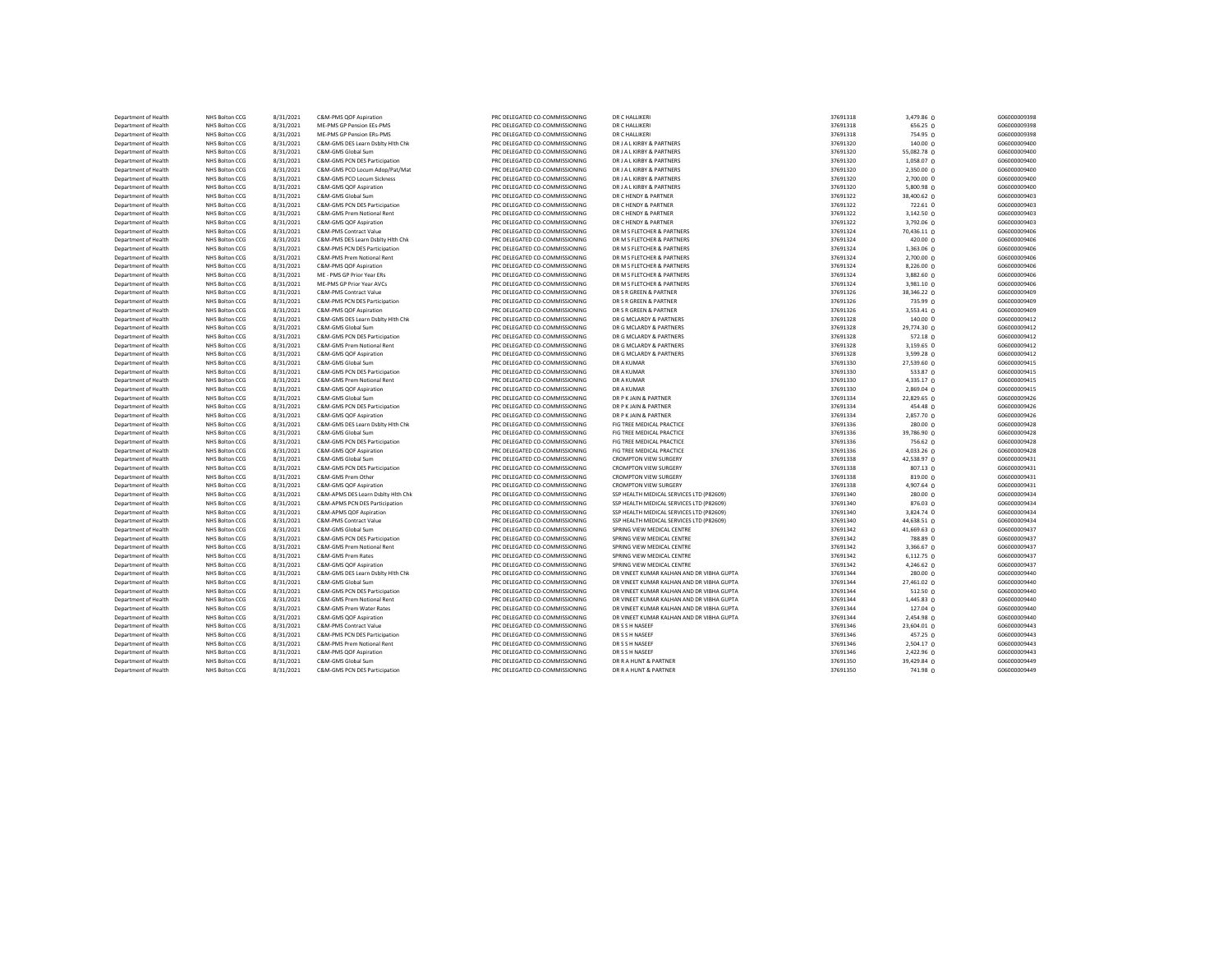| Department of Health | NHS Bolton CCG | 8/31/2021 | C&M-PMS QOF Aspiration             | PRC DELEGATED CO-COMMISSIONING | DR C HALLIKERI                            | 37691318 | 3,479.86 0          | G06000009398 |
|----------------------|----------------|-----------|------------------------------------|--------------------------------|-------------------------------------------|----------|---------------------|--------------|
| Department of Health | NHS Bolton CCG | 8/31/2021 | ME-PMS GP Pension EEs-PMS          | PRC DELEGATED CO-COMMISSIONING | DR C HALLIKERI                            | 37691318 | 656.25 0            | G06000009398 |
| Department of Health | NHS Bolton CCG | 8/31/2021 | ME-PMS GP Pension ERs-PMS          | PRC DELEGATED CO-COMMISSIONING | DR C HALLIKERI                            | 37691318 | 754.95 0            | G06000009398 |
| Department of Health | NHS Bolton CCG | 8/31/2021 | C&M-GMS DES Learn Dsblty Hith Chk  | PRC DELEGATED CO-COMMISSIONING | DR J A L KIRBY & PARTNERS                 | 37691320 | 140.00 0            | G06000009400 |
| Department of Health | NHS Bolton CCG | 8/31/2021 | C&M-GMS Global Sum                 | PRC DELEGATED CO-COMMISSIONING | DR J A L KIRBY & PARTNERS                 | 37691320 | 55,082.78 0         | G06000009400 |
| Department of Health | NHS Bolton CCG | 8/31/2021 | C&M-GMS PCN DES Participation      | PRC DELEGATED CO-COMMISSIONING | DR J A L KIRBY & PARTNERS                 | 37691320 | 1,058.07 0          | G06000009400 |
| Department of Health | NHS Bolton CCG | 8/31/2021 | C&M-GMS PCO Locum Adop/Pat/Mat     | PRC DELEGATED CO-COMMISSIONING | DR J A L KIRBY & PARTNERS                 | 37691320 | 2,350.00 0          | G06000009400 |
| Department of Health | NHS Bolton CCG | 8/31/2021 | C&M-GMS PCO Locum Sickness         | PRC DELEGATED CO-COMMISSIONING | DR J A L KIRBY & PARTNERS                 | 37691320 | 2,700.00 0          | G06000009400 |
| Department of Health | NHS Bolton CCG | 8/31/2021 | C&M-GMS QOF Aspiration             | PRC DELEGATED CO-COMMISSIONING | DR J A L KIRBY & PARTNERS                 | 37691320 | 5,800.98 0          | G06000009400 |
| Department of Health | NHS Bolton CCG | 8/31/2021 | C&M-GMS Global Sum                 | PRC DELEGATED CO-COMMISSIONING | DR C HENDY & PARTNER                      | 37691322 | 38,400.62 0         | G06000009403 |
| Department of Health | NHS Bolton CCG | 8/31/2021 | C&M-GMS PCN DES Participation      | PRC DELEGATED CO-COMMISSIONING | DR C HENDY & PARTNER                      | 37691322 | 722.61 0            | G06000009403 |
| Department of Health | NHS Bolton CCG | 8/31/2021 | C&M-GMS Prem Notional Rent         | PRC DELEGATED CO-COMMISSIONING | DR C HENDY & PARTNER                      | 37691322 | 3,142.50 0          | G06000009403 |
| Department of Health | NHS Bolton CCG | 8/31/2021 | C&M-GMS QOF Aspiration             | PRC DELEGATED CO-COMMISSIONING | DR C HENDY & PARTNER                      | 37691322 | 3,792.06 0          | G06000009403 |
| Department of Health | NHS Bolton CCG | 8/31/2021 | C&M-PMS Contract Value             | PRC DELEGATED CO-COMMISSIONING | DR M S FLETCHER & PARTNERS                | 37691324 | 70,436.11 0         | G06000009406 |
| Department of Health | NHS Bolton CCG | 8/31/2021 | C&M-PMS DES Learn Dsblty Hith Chk  | PRC DELEGATED CO-COMMISSIONING | DR M S FLETCHER & PARTNERS                | 37691324 | 420.00 0            | G06000009406 |
| Department of Health | NHS Bolton CCG | 8/31/2021 | C&M-PMS PCN DES Participation      | PRC DELEGATED CO-COMMISSIONING | DR M S FLETCHER & PARTNERS                | 37691324 | 1,363.06 0          | G06000009406 |
| Department of Health | NHS Bolton CCG | 8/31/2021 | C&M-PMS Prem Notional Rent         | PRC DELEGATED CO-COMMISSIONING | DR M S FLETCHER & PARTNERS                | 37691324 | 2,700.00 0          | G06000009406 |
| Department of Health | NHS Bolton CCG | 8/31/2021 | C&M-PMS QOF Aspiration             | PRC DELEGATED CO-COMMISSIONING | DR M S FLETCHER & PARTNERS                | 37691324 | 8,226.00 0          | G06000009406 |
| Department of Health | NHS Bolton CCG | 8/31/2021 | ME - PMS GP Prior Year ERs         | PRC DELEGATED CO-COMMISSIONING | DR M S FLETCHER & PARTNERS                | 37691324 | 3,882.60 0          | G06000009406 |
| Department of Health | NHS Bolton CCG | 8/31/2021 | ME-PMS GP Prior Year AVCs          | PRC DELEGATED CO-COMMISSIONING | DR M S FLETCHER & PARTNERS                | 37691324 | $3,981.10$ 0        | G06000009406 |
| Department of Health | NHS Bolton CCG | 8/31/2021 | C&M-PMS Contract Value             | PRC DELEGATED CO-COMMISSIONING | DR S R GREEN & PARTNER                    | 37691326 | 38,346.22 0         | G06000009409 |
| Department of Health | NHS Bolton CCG | 8/31/2021 | C&M-PMS PCN DES Participation      | PRC DELEGATED CO-COMMISSIONING | DR S R GREEN & PARTNER                    | 37691326 | 735.99 0            | G06000009409 |
| Department of Health | NHS Bolton CCG | 8/31/2021 | C&M-PMS QOF Aspiration             | PRC DELEGATED CO-COMMISSIONING | DR S R GREEN & PARTNER                    | 37691326 | $3,553.41$ 0        | G06000009409 |
| Department of Health | NHS Bolton CCG | 8/31/2021 | C&M-GMS DES Learn Dsblty Hlth Chk  | PRC DELEGATED CO-COMMISSIONING | DR G MCLARDY & PARTNERS                   | 37691328 | 140.00 0            | G06000009412 |
| Department of Health | NHS Bolton CCG | 8/31/2021 | C&M-GMS Global Sum                 | PRC DELEGATED CO-COMMISSIONING | DR G MCLARDY & PARTNERS                   | 37691328 | 29,774.30 0         | G06000009412 |
| Department of Health | NHS Bolton CCG | 8/31/2021 | C&M-GMS PCN DES Participation      | PRC DELEGATED CO-COMMISSIONING | DR G MCLARDY & PARTNERS                   | 37691328 | 572.18 0            | G06000009412 |
| Department of Health | NHS Bolton CCG | 8/31/2021 | C&M-GMS Prem Notional Rent         | PRC DELEGATED CO-COMMISSIONING | DR G MCLARDY & PARTNERS                   | 37691328 | 3,159.65 0          | G06000009412 |
| Department of Health | NHS Bolton CCG | 8/31/2021 | C&M-GMS QOF Aspiration             | PRC DELEGATED CO-COMMISSIONING | DR G MCLARDY & PARTNERS                   | 37691328 | 3,599.28 0          | G06000009412 |
| Department of Health | NHS Bolton CCG | 8/31/2021 | C&M-GMS Global Sum                 | PRC DELEGATED CO-COMMISSIONING | DR A KUMAR                                | 37691330 | 27,539.60 0         | G06000009415 |
| Department of Health | NHS Bolton CCG | 8/31/2021 | C&M-GMS PCN DES Participation      | PRC DELEGATED CO-COMMISSIONING | DR A KUMAR                                | 37691330 | 533.87 0            | G06000009415 |
| Department of Health | NHS Bolton CCG | 8/31/2021 | C&M-GMS Prem Notional Rent         | PRC DELEGATED CO-COMMISSIONING | DR A KUMAR                                | 37691330 | 4,335.17 0          | G06000009415 |
| Department of Health | NHS Bolton CCG | 8/31/2021 | C&M-GMS QOF Aspiration             | PRC DELEGATED CO-COMMISSIONING | DR A KUMAR                                | 37691330 | 2,869.04 0          | G06000009415 |
| Department of Health | NHS Bolton CCG | 8/31/2021 | C&M-GMS Global Sum                 | PRC DELEGATED CO-COMMISSIONING | DR P K JAIN & PARTNER                     | 37691334 | 22,829.65 0         | G06000009426 |
| Department of Health | NHS Bolton CCG | 8/31/2021 | C&M-GMS PCN DES Participation      | PRC DELEGATED CO-COMMISSIONING | DR P K JAIN & PARTNER                     | 37691334 | 454.48 0            | G06000009426 |
| Department of Health | NHS Bolton CCG | 8/31/2021 | C&M-GMS QOF Aspiration             | PRC DELEGATED CO-COMMISSIONING | DR P K JAIN & PARTNER                     | 37691334 | 2,857.70 0          | G06000009426 |
| Department of Health | NHS Bolton CCG | 8/31/2021 | C&M-GMS DES Learn Dsblty Hlth Chk  | PRC DELEGATED CO-COMMISSIONING | FIG TREE MEDICAL PRACTICE                 | 37691336 | 280.00 0            | G06000009428 |
| Department of Health | NHS Bolton CCG | 8/31/2021 | C&M-GMS Global Sum                 | PRC DELEGATED CO-COMMISSIONING | FIG TREE MEDICAL PRACTICE                 | 37691336 | 39,786.90 0         | G06000009428 |
| Department of Health | NHS Bolton CCG | 8/31/2021 | C&M-GMS PCN DES Participation      | PRC DELEGATED CO-COMMISSIONING | FIG TREE MEDICAL PRACTICE                 | 37691336 | 756.62 0            | G06000009428 |
| Department of Health | NHS Bolton CCG | 8/31/2021 | C&M-GMS QOF Aspiration             | PRC DELEGATED CO-COMMISSIONING | FIG TREE MEDICAL PRACTICE                 | 37691336 | 4,033.26 0          | G06000009428 |
| Department of Health | NHS Bolton CCG | 8/31/2021 | C&M-GMS Global Sum                 | PRC DELEGATED CO-COMMISSIONING | <b>CROMPTON VIEW SURGERY</b>              | 37691338 | 42,538.97 0         | G06000009431 |
| Department of Health | NHS Bolton CCG | 8/31/2021 | C&M-GMS PCN DES Participation      | PRC DELEGATED CO-COMMISSIONING | <b>CROMPTON VIEW SURGERY</b>              | 37691338 | 807.13 0            | G06000009431 |
| Department of Health | NHS Bolton CCG | 8/31/2021 | C&M-GMS Prem Other                 | PRC DELEGATED CO-COMMISSIONING | <b>CROMPTON VIEW SURGERY</b>              | 37691338 | 819.00 <sub>0</sub> | G06000009431 |
| Department of Health | NHS Bolton CCG | 8/31/2021 | C&M-GMS QOF Aspiration             | PRC DELEGATED CO-COMMISSIONING | <b>CROMPTON VIEW SURGERY</b>              | 37691338 | 4,907.64 0          | G06000009431 |
| Department of Health | NHS Bolton CCG | 8/31/2021 | C&M-APMS DES Learn Dsblty Hith Chk | PRC DELEGATED CO-COMMISSIONING | SSP HEALTH MEDICAL SERVICES LTD (P82609)  | 37691340 | $280.00 \text{ o}$  | G06000009434 |
| Department of Health | NHS Bolton CCG | 8/31/2021 | C&M-APMS PCN DES Participation     | PRC DELEGATED CO-COMMISSIONING | SSP HEALTH MEDICAL SERVICES LTD (P82609)  | 37691340 | $876.03 \text{ o}$  | G06000009434 |
| Department of Health | NHS Bolton CCG | 8/31/2021 | C&M-APMS QOF Aspiration            | PRC DELEGATED CO-COMMISSIONING | SSP HEALTH MEDICAL SERVICES LTD (P82609)  | 37691340 | 3,824.74 0          | G06000009434 |
| Department of Health | NHS Bolton CCG | 8/31/2021 | C&M-PMS Contract Value             | PRC DELEGATED CO-COMMISSIONING | SSP HEALTH MEDICAL SERVICES LTD (P82609)  | 37691340 | 44,638.51 0         | G06000009434 |
| Department of Health | NHS Bolton CCG | 8/31/2021 | C&M-GMS Global Sum                 | PRC DELEGATED CO-COMMISSIONING | SPRING VIEW MEDICAL CENTRE                | 37691342 | 41,669.63 0         | G06000009437 |
| Department of Health | NHS Bolton CCG | 8/31/2021 | C&M-GMS PCN DES Participation      | PRC DELEGATED CO-COMMISSIONING | SPRING VIEW MEDICAL CENTRE                | 37691342 | 788.89 0            | G06000009437 |
| Department of Health | NHS Bolton CCG | 8/31/2021 | C&M-GMS Prem Notional Rent         | PRC DELEGATED CO-COMMISSIONING | SPRING VIEW MEDICAL CENTRE                | 37691342 | 3,366.67 0          | G06000009437 |
| Department of Health | NHS Bolton CCG | 8/31/2021 | C&M-GMS Prem Rates                 | PRC DELEGATED CO-COMMISSIONING | SPRING VIEW MEDICAL CENTRE                | 37691342 | 6,112.75 0          | G06000009437 |
| Department of Health | NHS Bolton CCG | 8/31/2021 | C&M-GMS QOF Aspiration             | PRC DELEGATED CO-COMMISSIONING | SPRING VIEW MEDICAL CENTRE                | 37691342 | 4,246.62 0          | G06000009437 |
| Department of Health | NHS Bolton CCG | 8/31/2021 | C&M-GMS DES Learn Dsblty Hlth Chk  | PRC DELEGATED CO-COMMISSIONING | DR VINEET KUMAR KALHAN AND DR VIBHA GUPTA | 37691344 | 280.00 0            | G06000009440 |
| Department of Health | NHS Bolton CCG | 8/31/2021 | C&M-GMS Global Sum                 | PRC DELEGATED CO-COMMISSIONING | DR VINEET KUMAR KALHAN AND DR VIBHA GUPTA | 37691344 | 27,461.02 0         | G06000009440 |
| Department of Health | NHS Bolton CCG | 8/31/2021 | C&M-GMS PCN DES Participation      | PRC DELEGATED CO-COMMISSIONING | DR VINEET KUMAR KALHAN AND DR VIBHA GUPTA | 37691344 | $512.50$ 0          | G06000009440 |
| Department of Health | NHS Bolton CCG | 8/31/2021 | C&M-GMS Prem Notional Rent         | PRC DELEGATED CO-COMMISSIONING | DR VINEET KUMAR KALHAN AND DR VIBHA GUPTA | 37691344 | 1,445.83 0          | G06000009440 |
| Department of Health | NHS Bolton CCG | 8/31/2021 | C&M-GMS Prem Water Rates           | PRC DELEGATED CO-COMMISSIONING | DR VINEET KUMAR KALHAN AND DR VIBHA GUPTA | 37691344 | 127.04 0            | G06000009440 |
| Department of Health | NHS Bolton CCG | 8/31/2021 | C&M-GMS QOF Aspiration             | PRC DELEGATED CO-COMMISSIONING | DR VINEET KUMAR KALHAN AND DR VIBHA GUPTA | 37691344 | 2,454.98 0          | G06000009440 |
| Department of Health | NHS Bolton CCG | 8/31/2021 | C&M-PMS Contract Value             | PRC DELEGATED CO-COMMISSIONING | DR S S H NASEER                           | 37691346 | 23,604.01 0         | G06000009443 |
| Department of Health | NHS Bolton CCG | 8/31/2021 | C&M-PMS PCN DES Participation      | PRC DELEGATED CO-COMMISSIONING | DR S S H NASEER                           | 37691346 | 457.25 0            | G06000009443 |
| Department of Health | NHS Bolton CCG | 8/31/2021 | C&M-PMS Prem Notional Rent         | PRC DELEGATED CO-COMMISSIONING | DR S S H NASEEF                           | 37691346 | 2,504.17 0          | G06000009443 |
| Department of Health | NHS Bolton CCG | 8/31/2021 | C&M-PMS QOF Aspiration             | PRC DELEGATED CO-COMMISSIONING | DR S S H NASEEF                           | 37691346 | 2,422.96 0          | G06000009443 |
| Department of Health | NHS Bolton CCG | 8/31/2021 | C&M-GMS Global Sum                 | PRC DELEGATED CO-COMMISSIONING | DR R A HUNT & PARTNER                     | 37691350 | 39,429.84 0         | G06000009449 |
| Department of Health | NHS Bolton CCG | 8/31/2021 | C&M-GMS PCN DES Participation      | PRC DELEGATED CO-COMMISSIONING | DR R A HUNT & PARTNER                     | 37691350 | 741.98 0            | G06000009449 |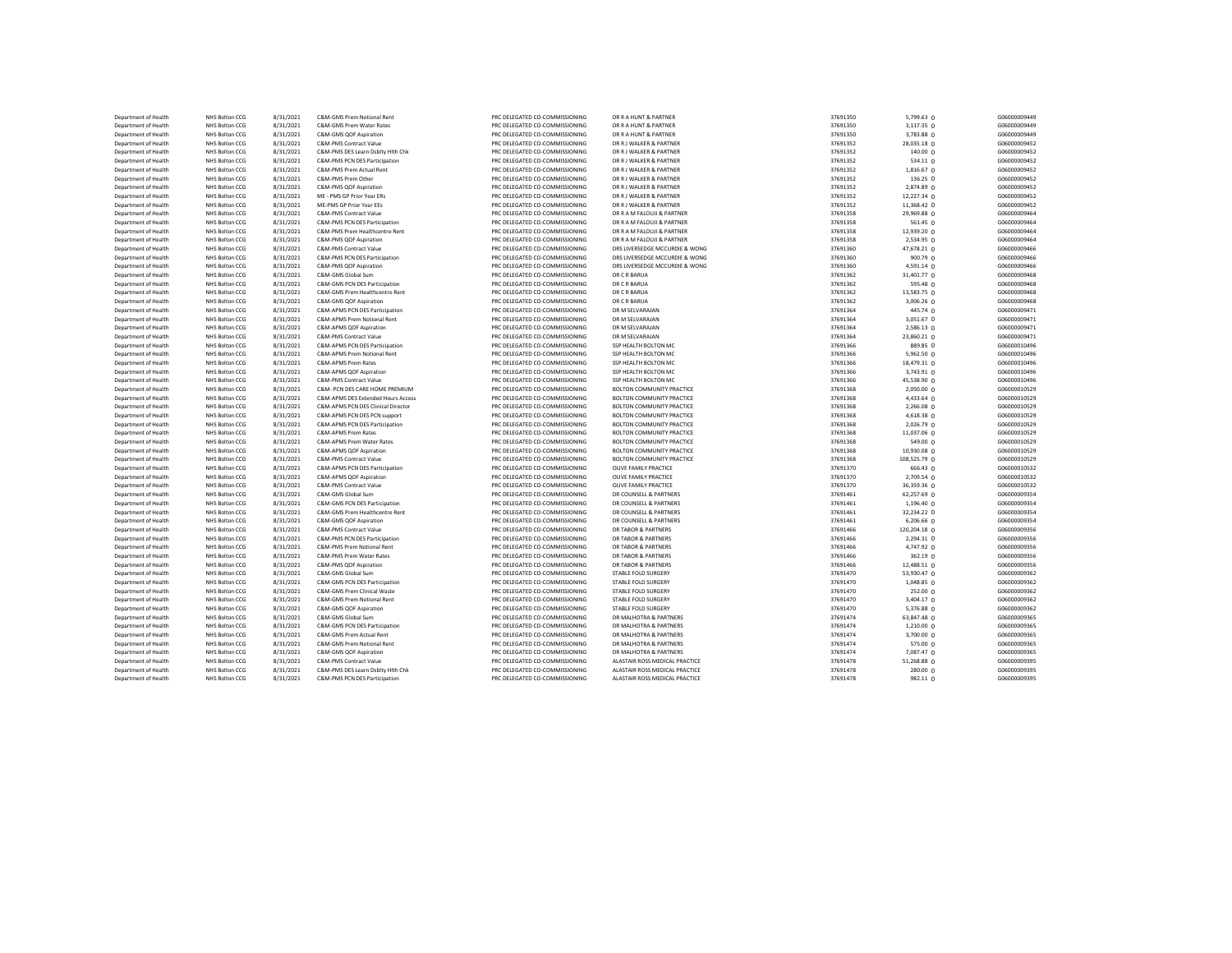| Department of Health | NHS Bolton CCG | 8/31/2021 | C&M-GMS Prem Notional Rent         | PRC DELEGATED CO-COMMISSIONING | DR R A HUNT & PARTNER          | 37691350 | 5,799.63 0      | G06000009449 |
|----------------------|----------------|-----------|------------------------------------|--------------------------------|--------------------------------|----------|-----------------|--------------|
| Department of Health | NHS Bolton CCG | 8/31/2021 | C&M-GMS Prem Water Rates           | PRC DELEGATED CO-COMMISSIONING | DR R A HUNT & PARTNER          | 37691350 | 3,117.35 0      | G06000009449 |
| Department of Health | NHS Bolton CCG | 8/31/2021 | C&M-GMS QOF Aspiration             | PRC DELEGATED CO-COMMISSIONING | DR R A HUNT & PARTNER          | 37691350 | 3,783.88 0      | G06000009449 |
| Department of Health | NHS Bolton CCG | 8/31/2021 | C&M-PMS Contract Value             | PRC DELEGATED CO-COMMISSIONING | DR R J WALKER & PARTNER        | 37691352 | 28,035.18 0     | G06000009452 |
| Department of Health | NHS Bolton CCG | 8/31/2021 | C&M-PMS DES Learn Dsblty Hith Chk  | PRC DELEGATED CO-COMMISSIONING | DR R J WALKER & PARTNER        | 37691352 | 140.00 0        | G06000009452 |
| Department of Health | NHS Bolton CCG | 8/31/2021 | C&M-PMS PCN DES Participation      | PRC DELEGATED CO-COMMISSIONING | DR R J WALKER & PARTNER        | 37691352 | 534.11 0        | G06000009452 |
| Department of Health | NHS Bolton CCG | 8/31/2021 | C&M-PMS Prem Actual Rent           | PRC DELEGATED CO-COMMISSIONING | DR R J WALKER & PARTNER        | 37691352 | 1,816.67 0      | G06000009452 |
| Department of Health | NHS Bolton CCG | 8/31/2021 | C&M-PMS Prem Other                 | PRC DELEGATED CO-COMMISSIONING | DR R J WALKER & PARTNER        | 37691352 | 136.25 0        | G06000009452 |
| Department of Health | NHS Bolton CCG | 8/31/2021 | C&M-PMS QOF Aspiration             | PRC DELEGATED CO-COMMISSIONING | DR R J WALKER & PARTNER        | 37691352 | 2,874.89 0      | G06000009452 |
| Department of Health | NHS Bolton CCG | 8/31/2021 | ME - PMS GP Prior Year ERs         | PRC DELEGATED CO-COMMISSIONING | DR R J WALKER & PARTNER        | 37691352 | 12,227.34 0     | G06000009452 |
| Department of Health | NHS Bolton CCG | 8/31/2021 | ME-PMS GP Prior Year EEs           | PRC DELEGATED CO-COMMISSIONING | DR R J WALKER & PARTNER        | 37691352 | 11,368.42 0     | G06000009452 |
| Department of Health | NHS Bolton CCG | 8/31/2021 | C&M-PMS Contract Value             | PRC DELEGATED CO-COMMISSIONING | DR R A M FALOUJI & PARTNER     | 37691358 | 29,969.88 0     | G06000009464 |
| Department of Health | NHS Bolton CCG | 8/31/2021 | C&M-PMS PCN DES Participation      | PRC DELEGATED CO-COMMISSIONING | DR R A M FALOUJI & PARTNER     | 37691358 | 561.45 0        | G06000009464 |
| Department of Health | NHS Bolton CCG | 8/31/2021 | C&M-PMS Prem Healthcentre Rent     | PRC DELEGATED CO-COMMISSIONING | DR R A M FALOUJI & PARTNER     | 37691358 | 12,939.20 0     | G06000009464 |
| Department of Health | NHS Bolton CCG | 8/31/2021 | C&M-PMS QOF Aspiration             | PRC DELEGATED CO-COMMISSIONING | DR R A M FALOUJI & PARTNER     | 37691358 | 2,534.95 0      | G06000009464 |
| Department of Health | NHS Bolton CCG | 8/31/2021 | C&M-PMS Contract Value             | PRC DELEGATED CO-COMMISSIONING | DRS LIVERSEDGE MCCURDIE & WONG | 37691360 | 47,678.21 0     | G06000009466 |
| Department of Health | NHS Bolton CCG | 8/31/2021 | C&M-PMS PCN DES Participation      | PRC DELEGATED CO-COMMISSIONING | DRS LIVERSEDGE MCCURDIE & WONG | 37691360 | 900.79 0        | G06000009466 |
| Department of Health | NHS Bolton CCG | 8/31/2021 | C&M-PMS QOF Aspiration             | PRC DELEGATED CO-COMMISSIONING | DRS LIVERSEDGE MCCURDIE & WONG | 37691360 | 4,591.14 0      | G06000009466 |
| Department of Health | NHS Bolton CCG | 8/31/2021 | C&M-GMS Global Sum                 | PRC DELEGATED CO-COMMISSIONING | DR C R BARUA                   | 37691362 | 31,401.77 0     | G06000009468 |
| Department of Health | NHS Bolton CCG | 8/31/2021 | C&M-GMS PCN DES Participation      | PRC DELEGATED CO-COMMISSIONING | DR C R BARUA                   | 37691362 | 595.48 0        | G06000009468 |
| Department of Health | NHS Bolton CCG | 8/31/2021 | C&M-GMS Prem Healthcentre Rent     | PRC DELEGATED CO-COMMISSIONING | DR C R BARUA                   | 37691362 | 13,583.75 0     | G06000009468 |
| Department of Health | NHS Bolton CCG | 8/31/2021 | C&M-GMS QOF Aspiration             | PRC DELEGATED CO-COMMISSIONING | DR C R BARUA                   | 37691362 | $3,006.26$ 0    | G06000009468 |
| Department of Health | NHS Bolton CCG | 8/31/2021 | C&M-APMS PCN DES Participation     | PRC DELEGATED CO-COMMISSIONING | DR M SELVARAJAN                | 37691364 | 445.74 0        | G06000009471 |
| Department of Health | NHS Bolton CCG | 8/31/2021 | C&M-APMS Prem Notional Rent        | PRC DELEGATED CO-COMMISSIONING | DR M SELVARAJAN                | 37691364 | 3,051.67 0      | G06000009471 |
| Department of Health | NHS Bolton CCG | 8/31/2021 | C&M-APMS QOF Aspiration            | PRC DELEGATED CO-COMMISSIONING | DR M SELVARAJAN                | 37691364 | 2,586.13 0      | G06000009471 |
| Department of Health | NHS Bolton CCG | 8/31/2021 | C&M-PMS Contract Value             | PRC DELEGATED CO-COMMISSIONING | DR M SELVARAJAN                | 37691364 | 23,860.21 0     | G06000009471 |
| Department of Health | NHS Bolton CCG | 8/31/2021 | C&M-APMS PCN DES Participation     | PRC DELEGATED CO-COMMISSIONING | SSP HEALTH BOLTON MC           | 37691366 | 889.85 0        | G06000010496 |
| Department of Health | NHS Bolton CCG | 8/31/2021 | C&M-APMS Prem Notional Rent        | PRC DELEGATED CO-COMMISSIONING | SSP HEALTH BOLTON MC           | 37691366 | 5,962.50 0      | G06000010496 |
| Department of Health | NHS Bolton CCG | 8/31/2021 | C&M-APMS Prem Rates                | PRC DELEGATED CO-COMMISSIONING | SSP HEALTH BOLTON MC           | 37691366 | 18,479.31 0     | G06000010496 |
| Department of Health | NHS Bolton CCG | 8/31/2021 | C&M-APMS QOF Aspiration            | PRC DELEGATED CO-COMMISSIONING | SSP HEALTH BOLTON MC           | 37691366 | 3,743.91 0      | G06000010496 |
| Department of Health | NHS Bolton CCG | 8/31/2021 | C&M-PMS Contract Value             | PRC DELEGATED CO-COMMISSIONING | SSP HEALTH BOLTON MC           | 37691366 | 45,538.90 0     | G06000010496 |
| Department of Health | NHS Bolton CCG | 8/31/2021 | C&M- PCN DES CARE HOME PREMIUM     | PRC DELEGATED CO-COMMISSIONING | BOLTON COMMUNITY PRACTICE      | 37691368 | 2,050.00 0      | G06000010529 |
| Department of Health | NHS Bolton CCG | 8/31/2021 | C&M-APMS DES Extended Hours Access | PRC DELEGATED CO-COMMISSIONING | BOLTON COMMUNITY PRACTICE      | 37691368 | 4,433.64 0      | G06000010529 |
| Department of Health | NHS Bolton CCG | 8/31/2021 | C&M-APMS PCN DES Clinical Director | PRC DELEGATED CO-COMMISSIONING | BOLTON COMMUNITY PRACTICE      | 37691368 | 2,266.08 0      | G06000010529 |
| Department of Health | NHS Bolton CCG | 8/31/2021 | C&M-APMS PCN DES PCN support       | PRC DELEGATED CO-COMMISSIONING | BOLTON COMMUNITY PRACTICE      | 37691368 | 4,618.38 0      | G06000010529 |
| Department of Health | NHS Bolton CCG | 8/31/2021 | C&M-APMS PCN DES Participation     | PRC DELEGATED CO-COMMISSIONING | BOLTON COMMUNITY PRACTICE      | 37691368 | 2,026.79 0      | G06000010529 |
| Department of Health | NHS Bolton CCG | 8/31/2021 | C&M-APMS Prem Rates                | PRC DELEGATED CO-COMMISSIONING | BOLTON COMMUNITY PRACTICE      | 37691368 | 11,037.06 0     | G06000010529 |
| Department of Health | NHS Bolton CCG | 8/31/2021 | C&M-APMS Prem Water Rates          | PRC DELEGATED CO-COMMISSIONING | BOLTON COMMUNITY PRACTICE      | 37691368 | 549.00 0        | G06000010529 |
| Department of Health | NHS Bolton CCG | 8/31/2021 | C&M-APMS QOF Aspiration            | PRC DELEGATED CO-COMMISSIONING | BOLTON COMMUNITY PRACTICE      | 37691368 | 10,930.08 0     | G06000010529 |
| Department of Health | NHS Bolton CCG | 8/31/2021 | C&M-PMS Contract Value             | PRC DELEGATED CO-COMMISSIONING | BOLTON COMMUNITY PRACTICE      | 37691368 | 108,525.79 0    | G06000010529 |
| Department of Health | NHS Bolton CCG | 8/31/2021 | C&M-APMS PCN DES Participation     | PRC DELEGATED CO-COMMISSIONING | OLIVE FAMILY PRACTICE          | 37691370 | 666.43 0        | G06000010532 |
| Department of Health | NHS Bolton CCG | 8/31/2021 | C&M-APMS QOF Aspiration            | PRC DELEGATED CO-COMMISSIONING | OLIVE FAMILY PRACTICE          | 37691370 | $2,709.54$ 0    | G06000010532 |
| Department of Health | NHS Bolton CCG | 8/31/2021 | C&M-PMS Contract Value             | PRC DELEGATED CO-COMMISSIONING | OLIVE FAMILY PRACTICE          | 37691370 | 36,359.36 0     | G06000010532 |
| Department of Health | NHS Bolton CCG | 8/31/2021 | C&M-GMS Global Sum                 | PRC DELEGATED CO-COMMISSIONING | DR COUNSELL & PARTNERS         | 37691461 | 62,257.69 0     | G06000009354 |
| Department of Health | NHS Bolton CCG | 8/31/2021 | C&M-GMS PCN DES Participation      | PRC DELEGATED CO-COMMISSIONING | DR COUNSELL & PARTNERS         | 37691461 | 1,196.40 0      | G06000009354 |
| Department of Health | NHS Bolton CCG | 8/31/2021 | C&M-GMS Prem Healthcentre Rent     | PRC DELEGATED CO-COMMISSIONING | DR COUNSELL & PARTNERS         | 37691461 | 32,234.22 0     | G06000009354 |
| Department of Health | NHS Bolton CCG | 8/31/2021 | C&M-GMS QOF Aspiration             | PRC DELEGATED CO-COMMISSIONING | DR COUNSELL & PARTNERS         | 37691461 | 6,206.66 0      | G06000009354 |
| Department of Health | NHS Bolton CCG | 8/31/2021 | C&M-PMS Contract Value             | PRC DELEGATED CO-COMMISSIONING | DR TABOR & PARTNERS            | 37691466 | 120,204.18 0    | G06000009356 |
| Department of Health | NHS Bolton CCG | 8/31/2021 | C&M-PMS PCN DES Participation      | PRC DELEGATED CO-COMMISSIONING | DR TABOR & PARTNERS            | 37691466 | 2,294.31 0      | G06000009356 |
| Department of Health | NHS Bolton CCG | 8/31/2021 | C&M-PMS Prem Notional Rent         | PRC DELEGATED CO-COMMISSIONING | DR TABOR & PARTNERS            | 37691466 | 4,747.92 0      | G06000009356 |
| Department of Health | NHS Bolton CCG | 8/31/2021 | C&M-PMS Prem Water Rates           | PRC DELEGATED CO-COMMISSIONING | <b>DR TABOR &amp; PARTNERS</b> | 37691466 | 362.19 0        | G06000009356 |
| Department of Health | NHS Bolton CCG | 8/31/2021 | C&M-PMS QOF Aspiration             | PRC DELEGATED CO-COMMISSIONING | DR TABOR & PARTNERS            | 37691466 | 12,488.51 0     | G06000009356 |
| Department of Health | NHS Bolton CCG | 8/31/2021 | C&M-GMS Global Sum                 | PRC DELEGATED CO-COMMISSIONING | STABLE FOLD SURGERY            | 37691470 | 53,930.47 0     | G06000009362 |
| Department of Health | NHS Bolton CCG | 8/31/2021 | C&M-GMS PCN DES Participation      | PRC DELEGATED CO-COMMISSIONING | STABLE FOLD SURGERY            | 37691470 | 1,048.85 0      | G06000009362 |
| Department of Health | NHS Bolton CCG | 8/31/2021 | C&M-GMS Prem Clinical Waste        | PRC DELEGATED CO-COMMISSIONING | STABLE FOLD SURGERY            | 37691470 | 252.00 0        | G06000009362 |
| Department of Health | NHS Bolton CCG | 8/31/2021 | C&M-GMS Prem Notional Rent         | PRC DELEGATED CO-COMMISSIONING | STABLE FOLD SURGERY            | 37691470 | 3,404.17 0      | G06000009362 |
| Department of Health | NHS Bolton CCG | 8/31/2021 | C&M-GMS QOF Aspiration             | PRC DELEGATED CO-COMMISSIONING | STABLE FOLD SURGERY            | 37691470 | 5,376.88 0      | G06000009362 |
| Department of Health | NHS Bolton CCG | 8/31/2021 | C&M-GMS Global Sum                 | PRC DELEGATED CO-COMMISSIONING | DR MALHOTRA & PARTNERS         | 37691474 | 63,847.48 0     | G06000009365 |
| Department of Health | NHS Bolton CCG | 8/31/2021 | C&M-GMS PCN DES Participation      | PRC DELEGATED CO-COMMISSIONING | DR MALHOTRA & PARTNERS         | 37691474 | 1,210.00 0      | G06000009365 |
| Department of Health | NHS Bolton CCG | 8/31/2021 | C&M-GMS Prem Actual Rent           | PRC DELEGATED CO-COMMISSIONING | DR MALHOTRA & PARTNERS         | 37691474 | 3,700.00 0      | G06000009365 |
| Department of Health | NHS Bolton CCG | 8/31/2021 | C&M-GMS Prem Notional Rent         | PRC DELEGATED CO-COMMISSIONING | DR MALHOTRA & PARTNERS         | 37691474 | 575.00 0        | G06000009365 |
| Department of Health | NHS Bolton CCG | 8/31/2021 | C&M-GMS QOF Aspiration             | PRC DELEGATED CO-COMMISSIONING | DR MALHOTRA & PARTNERS         | 37691474 | 7,087.47 0      | G06000009365 |
| Department of Health | NHS Bolton CCG | 8/31/2021 | C&M-PMS Contract Value             | PRC DELEGATED CO-COMMISSIONING | ALASTAIR ROSS MEDICAL PRACTICE | 37691478 | 51,268.88 0     | G06000009395 |
| Department of Health | NHS Bolton CCG | 8/31/2021 | C&M-PMS DES Learn Dsblty Hith Chk  | PRC DELEGATED CO-COMMISSIONING | ALASTAIR ROSS MEDICAL PRACTICE | 37691478 | 280.00 0        | G06000009395 |
| Department of Health | NHS Bolton CCG | 8/31/2021 | C&M-PMS PCN DES Participation      | PRC DELEGATED CO-COMMISSIONING | ALASTAIR ROSS MEDICAL PRACTICE | 37691478 | $982.11 \Omega$ | G06000009395 |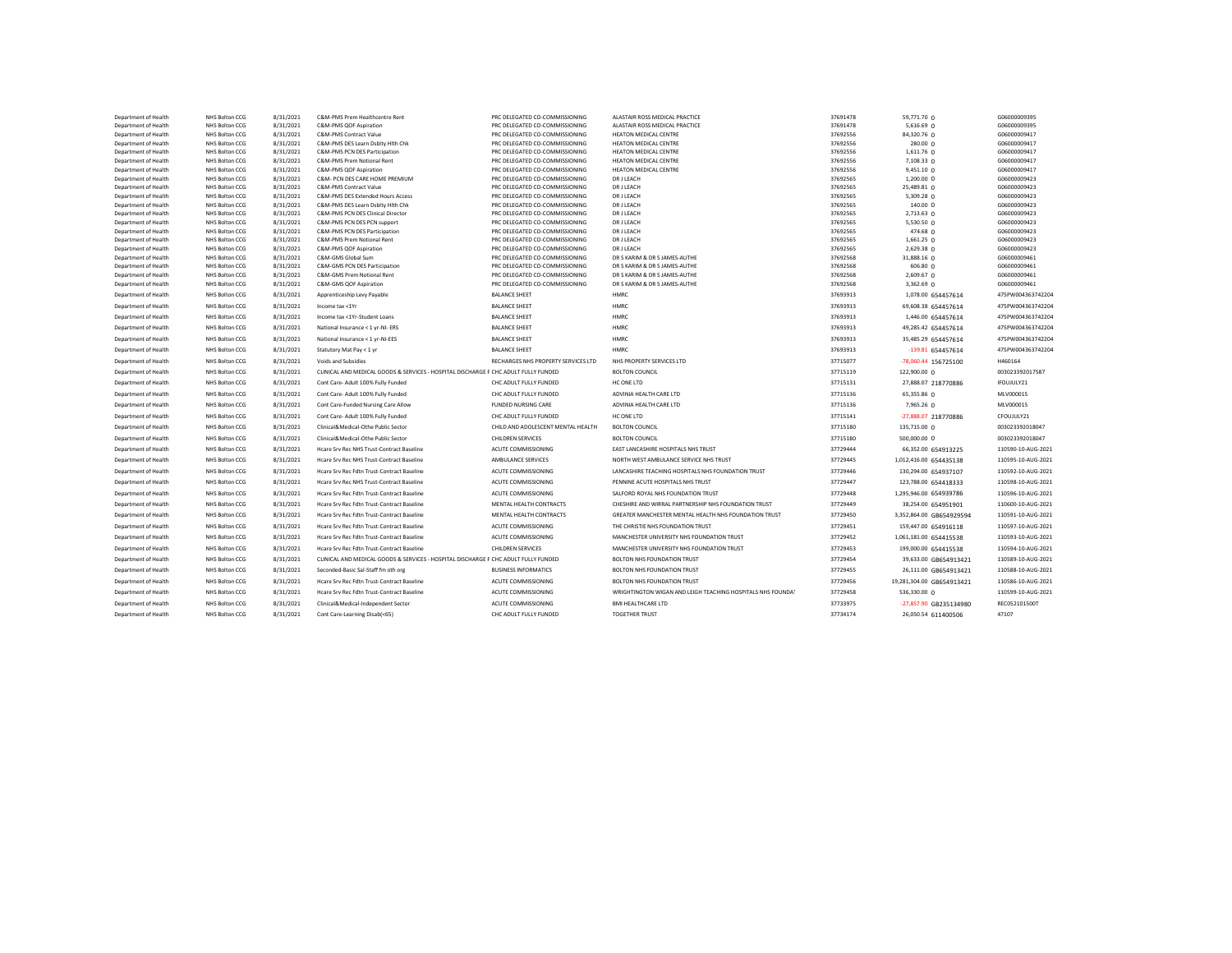| Department of Health                         | NHS Bolton CCG                   | 8/31/2021              | C&M-PMS Prem Healthcentre Rent                                                      | PRC DELEGATED CO-COMMISSIONING                                   | ALASTAIR ROSS MEDICAL PRACTICE                              | 37691478             | 59,771.70 0               | G06000009395                 |
|----------------------------------------------|----------------------------------|------------------------|-------------------------------------------------------------------------------------|------------------------------------------------------------------|-------------------------------------------------------------|----------------------|---------------------------|------------------------------|
| Department of Health                         | NHS Bolton CCG                   | 8/31/2021              | C&M-PMS QOF Aspiration                                                              | PRC DELEGATED CO-COMMISSIONING                                   | ALASTAIR ROSS MEDICAL PRACTICE                              | 37691478             | 5,616.69 0                | G06000009395                 |
| Department of Health                         | NHS Bolton CCG                   | 8/31/2021              | C&M-PMS Contract Value                                                              | PRC DELEGATED CO-COMMISSIONING                                   | HEATON MEDICAL CENTRE                                       | 37692556             | 84,320.76 0               | G06000009417                 |
| Department of Health                         | NHS Bolton CCG                   | 8/31/2021              | C&M-PMS DES Learn Dsblty Hith Chk                                                   | PRC DELEGATED CO-COMMISSIONING                                   | HEATON MEDICAL CENTRE                                       | 37692556             | 280.00 0                  | G06000009417                 |
| Department of Health                         | NHS Bolton CCG                   | 8/31/2021              | C&M-PMS PCN DES Participation                                                       | PRC DELEGATED CO-COMMISSIONING                                   | <b>HEATON MEDICAL CENTRE</b>                                | 37692556             | 1,611.76 0                | G06000009417                 |
| Department of Health                         | NHS Bolton CCG                   | 8/31/2021              | C&M-PMS Prem Notional Rent                                                          | PRC DELEGATED CO-COMMISSIONING                                   | HEATON MEDICAL CENTRE                                       | 37692556             | 7,108.33 0                | G06000009417                 |
| Department of Health                         | NHS Bolton CCG                   | 8/31/2021              | C&M-PMS QOF Aspiration                                                              | PRC DELEGATED CO-COMMISSIONING                                   | <b>HEATON MEDICAL CENTRE</b>                                | 37692556             | 9,451.10 0                | G06000009417                 |
| Department of Health                         | NHS Bolton CCG                   | 8/31/2021              | C&M- PCN DES CARE HOME PREMIUM<br>C&M-PMS Contract Value                            | PRC DELEGATED CO-COMMISSIONING                                   | DR J LEACH                                                  | 37692565             | 1,200.00 0                | G06000009423                 |
| Department of Health<br>Department of Health | NHS Bolton CCG<br>NHS Bolton CCG | 8/31/2021<br>8/31/2021 | C&M-PMS DES Extended Hours Access                                                   | PRC DELEGATED CO-COMMISSIONING<br>PRC DELEGATED CO-COMMISSIONING | DR J LEACH<br>DR J LEACH                                    | 37692565<br>37692565 | 25,489.81 0<br>5,309.28 0 | G06000009423<br>G06000009423 |
| Department of Health                         | NHS Bolton CCG                   | 8/31/2021              | C&M-PMS DES Learn Dsblty Hith Chk                                                   | PRC DELEGATED CO-COMMISSIONING                                   | DR J LEACH                                                  | 37692565             | 140.00 0                  | G06000009423                 |
| Department of Health                         | NHS Bolton CCG                   | 8/31/2021              | C&M-PMS PCN DES Clinical Director                                                   | PRC DELEGATED CO-COMMISSIONING                                   | DR J LEACH                                                  | 37692565             | 2,713.63 0                | G06000009423                 |
| Department of Health                         | NHS Bolton CCG                   | 8/31/2021              | C&M-PMS PCN DES PCN support                                                         | PRC DELEGATED CO-COMMISSIONING                                   | DR J LEACH                                                  | 37692565             | 5,530.50 0                | G06000009423                 |
| Department of Health                         | NHS Bolton CCG                   | 8/31/2021              | C&M-PMS PCN DES Participation                                                       | PRC DELEGATED CO-COMMISSIONING                                   | DR J LEACH                                                  | 37692565             | 474.68 0                  | G06000009423                 |
| Department of Health                         | NHS Bolton CCG                   | 8/31/2021              | C&M-PMS Prem Notional Rent                                                          | PRC DELEGATED CO-COMMISSIONING                                   | DR J LEACH                                                  | 37692565             | 1,661.25 0                | G06000009423                 |
| Department of Health                         | NHS Bolton CCG                   | 8/31/2021              | C&M-PMS QOF Aspiration                                                              | PRC DELEGATED CO-COMMISSIONING                                   | DR J LEACH                                                  | 37692565             | 2,629.38 0                | G06000009423                 |
| Department of Health                         | NHS Bolton CCG                   | 8/31/2021              | C&M-GMS Global Sum                                                                  | PRC DELEGATED CO-COMMISSIONING                                   | DR S KARIM & DR S JAMES-AUTHE                               | 37692568             | 31,888.16 0               | G06000009461                 |
| Department of Health                         | NHS Bolton CCG                   | 8/31/2021              | C&M-GMS PCN DES Participation                                                       | PRC DELEGATED CO-COMMISSIONING                                   | DR S KARIM & DR S JAMES-AUTHE                               | 37692568             | 606.80 0                  | G06000009461                 |
| Department of Health                         | NHS Bolton CCG                   | 8/31/2021              | C&M-GMS Prem Notional Rent                                                          | PRC DELEGATED CO-COMMISSIONING                                   | DR S KARIM & DR S JAMES-AUTHE                               | 37692568             | $2,609.67$ 0              | G06000009461                 |
| Department of Health                         | NHS Bolton CCG                   | 8/31/2021              | C&M-GMS QOF Aspiration                                                              | PRC DELEGATED CO-COMMISSIONING                                   | DR S KARIM & DR S JAMES-AUTHE                               | 37692568             | 3,362.69 0                | G06000009461                 |
| Department of Health                         | NHS Bolton CCG                   | 8/31/2021              | Apprenticeship Levy Payable                                                         | <b>BALANCE SHEET</b>                                             | <b>HMRC</b>                                                 | 37693913             | 1,078.00 654457614        | 475PW004363742204            |
| Department of Health                         | NHS Bolton CCG                   | 8/31/2021              | Income tax <1Yr                                                                     | <b>BALANCE SHEET</b>                                             | HMRC                                                        | 37693913             | 69,608.38 654457614       | 475PW004363742204            |
| Department of Health                         | NHS Bolton CCG                   | 8/31/2021              | Income tax <1Yr-Student Loans                                                       | <b>BALANCE SHEET</b>                                             | <b>HMRC</b>                                                 | 37693913             | 1,446.00 654457614        | 475PW004363742204            |
| Department of Health                         | NHS Bolton CCG                   | 8/31/2021              | National Insurance < 1 yr-NI- ERS                                                   | <b>BALANCE SHEET</b>                                             | <b>HMRC</b>                                                 | 37693913             | 49,285.42 654457614       | 475PW004363742204            |
| Department of Health                         | NHS Bolton CCG                   | 8/31/2021              | National Insurance < 1 vr-NI-EES                                                    | <b>BALANCE SHEET</b>                                             | <b>HMRC</b>                                                 | 37693913             | 35,485.29 654457614       | 475PW004363742204            |
| Department of Health                         | NHS Bolton CCG                   | 8/31/2021              | Statutory Mat Pay < 1 yr                                                            | <b>BALANCE SHEET</b>                                             | <b>HMRC</b>                                                 | 37693913             | -139.81 654457614         | 475PW004363742204            |
| Department of Health                         | NHS Bolton CCG                   | 8/31/2021              | Voids and Subsidies                                                                 | RECHARGES NHS PROPERTY SERVICES LTD                              | NHS PROPERTY SERVICES LTD                                   | 37715077             | -78,060.44 156725100      | H460164                      |
| Department of Health                         | NHS Bolton CCG                   | 8/31/2021              | CLINICAL AND MEDICAL GOODS & SERVICES - HOSPITAL DISCHARGE F CHC ADULT FULLY FUNDED |                                                                  | <b>BOLTON COUNCIL</b>                                       | 37715119             | 122,900.00 0              | 003023392017587              |
| Department of Health                         | NHS Bolton CCG                   | 8/31/2021              | Cont Care- Adult 100% Fully Funded                                                  | CHC ADULT FULLY FUNDED                                           | HC ONE LTD                                                  | 37715131             | 27,888.07 218770886       | IFOUJULY21                   |
| Department of Health                         | NHS Bolton CCG                   | 8/31/2021              | Cont Care- Adult 100% Fully Funded                                                  | CHC ADULT FULLY FUNDED                                           | ADVINIA HEALTH CARE LTD                                     | 37715136             | 65,355.86 0               | MLV000015                    |
| Department of Health                         | NHS Bolton CCG                   | 8/31/2021              | Cont Care-Funded Nursing Care Allow                                                 | <b>FUNDED NURSING CARE</b>                                       | ADVINIA HEALTH CARE LTD                                     | 37715136             | 7,965.26 0                | MLV000015                    |
| Department of Health                         | NHS Bolton CCG                   | 8/31/2021              | Cont Care- Adult 100% Fully Funded                                                  | CHC ADULT FULLY FUNDED                                           | HC ONE LTD                                                  | 37715141             | -27,888.07 218770886      | CFOUJULY21                   |
| Department of Health                         | NHS Bolton CCG                   | 8/31/2021              | Clinical&Medical-Othe Public Sector                                                 | CHILD AND ADOLESCENT MENTAL HEALTH                               | <b>BOLTON COUNCIL</b>                                       | 37715180             | 135,715.00 0              | 003023392018047              |
| Department of Health                         | NHS Bolton CCG                   | 8/31/2021              | Clinical&Medical-Othe Public Sector                                                 | <b>CHILDREN SERVICES</b>                                         | <b>BOLTON COUNCIL</b>                                       | 37715180             | 500,000.00 0              | 003023392018047              |
| Department of Health                         | NHS Bolton CCG                   | 8/31/2021              | Hcare Srv Rec NHS Trust-Contract Baseline                                           | ACUTE COMMISSIONING                                              | EAST LANCASHIRE HOSPITALS NHS TRUST                         | 37729444             | 66,352.00 654913225       | 110590-10-AUG-2021           |
| Department of Health                         | NHS Bolton CCG                   | 8/31/2021              | Hcare Srv Rec NHS Trust-Contract Baseline                                           | AMBULANCE SERVICES                                               | NORTH WEST AMBULANCE SERVICE NHS TRUST                      | 37729445             | 1,012,416.00 654435138    | 110595-10-AUG-2021           |
| Department of Health                         | NHS Bolton CCG                   | 8/31/2021              | Hcare Srv Rec Fdtn Trust-Contract Baseline                                          | ACUTE COMMISSIONING                                              | LANCASHIRE TEACHING HOSPITALS NHS FOUNDATION TRUST          | 37729446             | 130,294.00 654937107      | 110592-10-AUG-2021           |
| Department of Health                         | NHS Bolton CCG                   | 8/31/2021              | Hcare Srv Rec NHS Trust-Contract Baseline                                           | ACUTE COMMISSIONING                                              | PENNINE ACUTE HOSPITALS NHS TRUST                           | 37729447             | 123,788.00 654418333      | 110598-10-AUG-2021           |
| Department of Health                         | NHS Bolton CCG                   | 8/31/2021              | Hcare Srv Rec Fdtn Trust-Contract Baseline                                          | ACUTE COMMISSIONING                                              | SALFORD ROYAL NHS FOUNDATION TRUST                          | 37729448             | 1,295,946.00 654939786    | 110596-10-AUG-2021           |
| Department of Health                         | NHS Bolton CCG                   | 8/31/2021              | Hcare Srv Rec Fdtn Trust-Contract Baseline                                          | MENTAL HEALTH CONTRACTS                                          | CHESHIRE AND WIRRAL PARTNERSHIP NHS FOUNDATION TRUST        | 37729449             | 38,254.00 654951901       | 110600-10-AUG-2021           |
| Department of Health                         | NHS Bolton CCG                   | 8/31/2021              | Hcare Srv Rec Fdtn Trust-Contract Baseline                                          | MENTAL HEALTH CONTRACTS                                          | GREATER MANCHESTER MENTAL HEALTH NHS FOUNDATION TRUST       | 37729450             | 3,352,864.00 GB654929594  | 110591-10-AUG-2021           |
| Department of Health                         | NHS Bolton CCG                   | 8/31/2021              | Hcare Srv Rec Fdtn Trust-Contract Baseline                                          | ACUTE COMMISSIONING                                              | THE CHRISTIE NHS FOUNDATION TRUST                           | 37729451             | 159,447.00 654916118      | 110597-10-AUG-2021           |
| Department of Health                         | NHS Bolton CCG                   | 8/31/2021              | Hcare Srv Rec Fdtn Trust-Contract Baseline                                          | ACUTE COMMISSIONING                                              | MANCHESTER UNIVERSITY NHS FOUNDATION TRUST                  | 37729452             | 1,061,181.00 654415538    | 110593-10-AUG-2021           |
| Department of Health                         | NHS Bolton CCG                   | 8/31/2021              | Hcare Srv Rec Fdtn Trust-Contract Baseline                                          | CHILDREN SERVICES                                                | MANCHESTER UNIVERSITY NHS FOUNDATION TRUST                  | 37729453             | 199,000.00 654415538      | 110594-10-AUG-2021           |
| Department of Health                         | NHS Bolton CCG                   | 8/31/2021              | CLINICAL AND MEDICAL GOODS & SERVICES - HOSPITAL DISCHARGE F CHC ADULT FULLY FUNDED |                                                                  | BOLTON NHS FOUNDATION TRUST                                 | 37729454             | 39,633.00 GB654913421     | 110589-10-AUG-2021           |
| Department of Health                         | NHS Bolton CCG                   | 8/31/2021              | Seconded-Basic Sal-Staff fm oth org                                                 | <b>BUSINESS INFORMATICS</b>                                      | BOLTON NHS FOUNDATION TRUST                                 | 37729455             | 26,111.00 GB654913421     | 110588-10-AUG-2021           |
| Department of Health                         | NHS Bolton CCG                   | 8/31/2021              | Hcare Srv Rec Fdtn Trust-Contract Baseline                                          | ACUTE COMMISSIONING                                              | BOLTON NHS FOUNDATION TRUST                                 | 37729456             | 19,281,304.00 GB654913421 | 110586-10-AUG-2021           |
| Department of Health                         | NHS Bolton CCG                   | 8/31/2021              | Hcare Sry Rec Fdtn Trust-Contract Baseline                                          | ACUTE COMMISSIONING                                              | WRIGHTINGTON WIGAN AND LEIGH TEACHING HOSPITALS NHS FOUNDAT | 37729458             | 536,330.00 0              | 110599-10-AUG-2021           |
|                                              |                                  |                        |                                                                                     |                                                                  | <b>BMI HEALTHCARE LTD</b>                                   |                      |                           | REC052101500T                |
| Department of Health                         | NHS Bolton CCG                   | 8/31/2021              | Clinical&Medical-Independent Sector                                                 | ACUTE COMMISSIONING                                              |                                                             | 37733975             | -27,857.90 GB235134980    |                              |
| Department of Health                         | NHS Bolton CCG                   | 8/31/2021              | Cont Care-Learning Disab(<65)                                                       | CHC ADULT FULLY FUNDED                                           | <b>TOGETHER TRUST</b>                                       | 37734174             | 26,050.54 611400506       | 47107                        |